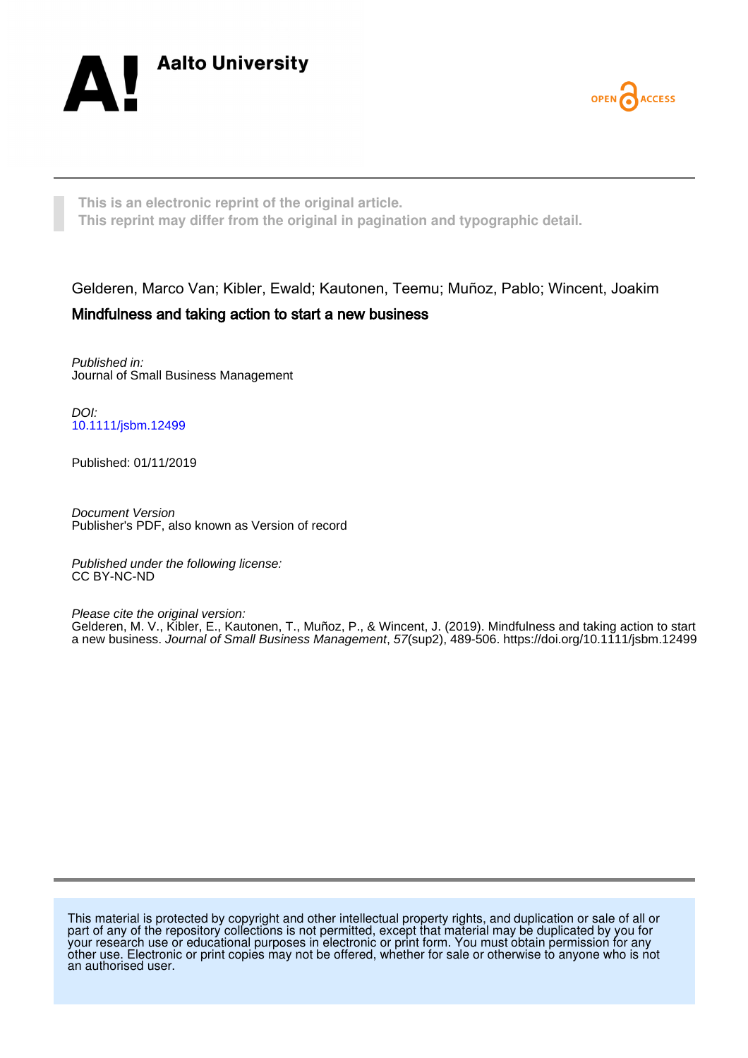



**This is an electronic reprint of the original article. This reprint may differ from the original in pagination and typographic detail.**

# Gelderen, Marco Van; Kibler, Ewald; Kautonen, Teemu; Muñoz, Pablo; Wincent, Joakim Mindfulness and taking action to start a new business

Published in: Journal of Small Business Management

DOI: [10.1111/jsbm.12499](https://doi.org/10.1111/jsbm.12499)

Published: 01/11/2019

Document Version Publisher's PDF, also known as Version of record

Published under the following license: CC BY-NC-ND

Please cite the original version:

Gelderen, M. V., Kibler, E., Kautonen, T., Muñoz, P., & Wincent, J. (2019). Mindfulness and taking action to start a new business. Journal of Small Business Management, 57(sup2), 489-506.<https://doi.org/10.1111/jsbm.12499>

This material is protected by copyright and other intellectual property rights, and duplication or sale of all or part of any of the repository collections is not permitted, except that material may be duplicated by you for your research use or educational purposes in electronic or print form. You must obtain permission for any other use. Electronic or print copies may not be offered, whether for sale or otherwise to anyone who is not an authorised user.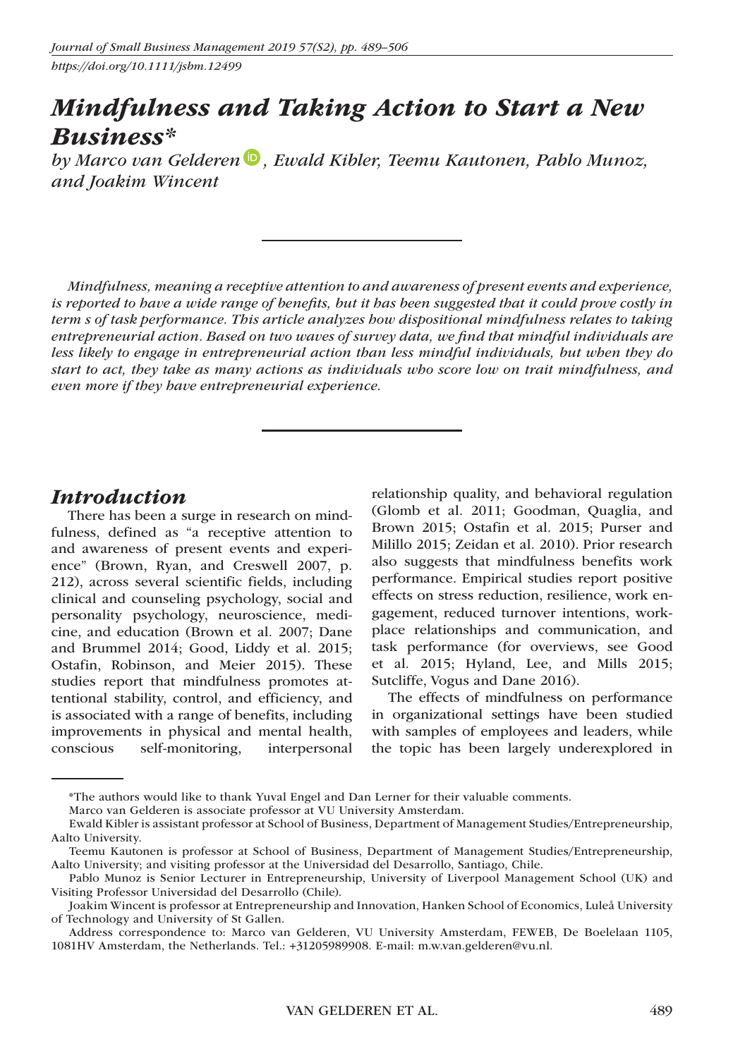*https://doi.org/10.1111/jsbm.12499*

# *Mindfulness and Taking Action to Start a New Business\**

*by Marco van Geldere[n](https://orcid.org/0000-0001-5804-3087) , Ewald Kibler, Teemu Kautonen, Pablo Munoz, and Joakim Wincent*

*Mindfulness, meaning a receptive attention to and awareness of present events and experience, is reported to have a wide range of benefits, but it has been suggested that it could prove costly in term s of task performance. This article analyzes how dispositional mindfulness relates to taking entrepreneurial action. Based on two waves of survey data, we find that mindful individuals are less likely to engage in entrepreneurial action than less mindful individuals, but when they do start to act, they take as many actions as individuals who score low on trait mindfulness, and even more if they have entrepreneurial experience.*

# *Introduction*

There has been a surge in research on mindfulness, defined as "a receptive attention to and awareness of present events and experience" (Brown, Ryan, and Creswell 2007, p. 212), across several scientific fields, including clinical and counseling psychology, social and personality psychology, neuroscience, medicine, and education (Brown et al*.* 2007; Dane and Brummel 2014; Good, Liddy et al*.* 2015; Ostafin, Robinson, and Meier 2015). These studies report that mindfulness promotes attentional stability, control, and efficiency, and is associated with a range of benefits, including improvements in physical and mental health, conscious self-monitoring, interpersonal

relationship quality, and behavioral regulation (Glomb et al*.* 2011; Goodman, Quaglia, and Brown 2015; Ostafin et al*.* 2015; Purser and Milillo 2015; Zeidan et al*.* 2010). Prior research also suggests that mindfulness benefits work performance. Empirical studies report positive effects on stress reduction, resilience, work engagement, reduced turnover intentions, workplace relationships and communication, and task performance (for overviews, see Good et al*.* 2015; Hyland, Lee, and Mills 2015; Sutcliffe, Vogus and Dane 2016).

The effects of mindfulness on performance in organizational settings have been studied with samples of employees and leaders, while the topic has been largely underexplored in

<sup>\*</sup>The authors would like to thank Yuval Engel and Dan Lerner for their valuable comments.

Marco van Gelderen is associate professor at VU University Amsterdam.

Ewald Kibler is assistant professor at School of Business, Department of Management Studies/Entrepreneurship, Aalto University.

Teemu Kautonen is professor at School of Business, Department of Management Studies/Entrepreneurship, Aalto University; and visiting professor at the Universidad del Desarrollo, Santiago, Chile.

Pablo Munoz is Senior Lecturer in Entrepreneurship, University of Liverpool Management School (UK) and Visiting Professor Universidad del Desarrollo (Chile).

Joakim Wincent is professor at Entrepreneurship and Innovation, Hanken School of Economics, Luleå University of Technology and University of St Gallen.

Address correspondence to: Marco van Gelderen, VU University Amsterdam, FEWEB, De Boelelaan 1105, 1081HV Amsterdam, the Netherlands. Tel.: +31205989908. E-mail: [m.w.van.gelderen@vu.nl.](mailto:m.w.van.gelderen@vu.nl)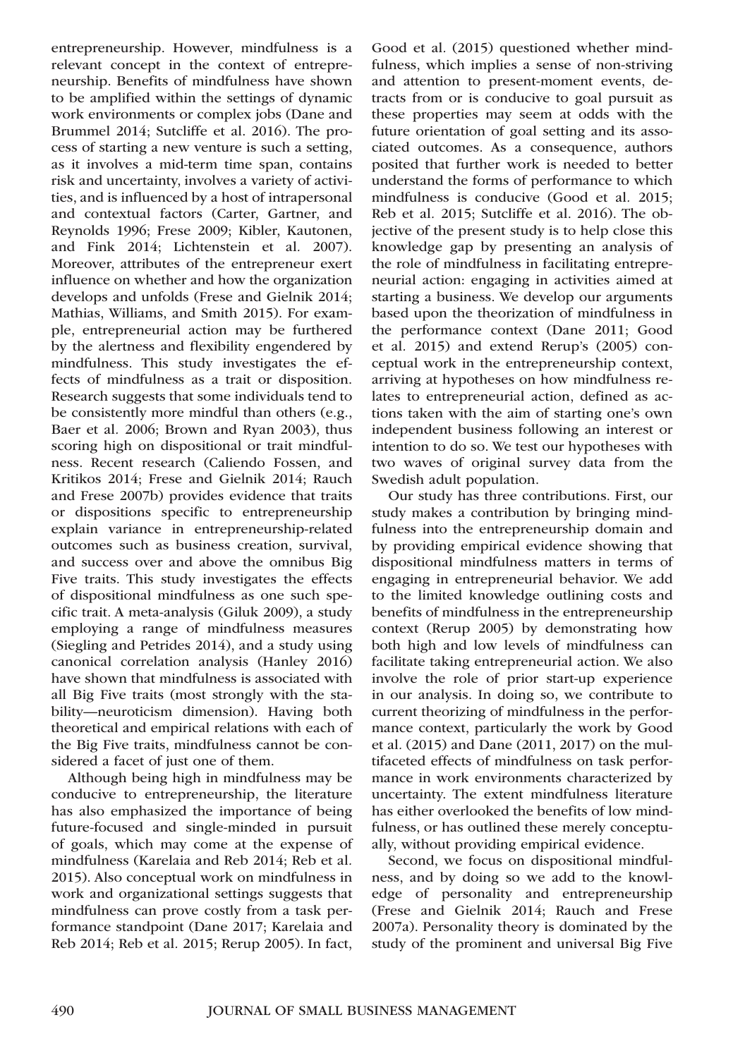entrepreneurship. However, mindfulness is a relevant concept in the context of entrepreneurship. Benefits of mindfulness have shown to be amplified within the settings of dynamic work environments or complex jobs (Dane and Brummel 2014; Sutcliffe et al. 2016). The process of starting a new venture is such a setting, as it involves a mid-term time span, contains risk and uncertainty, involves a variety of activities, and is influenced by a host of intrapersonal and contextual factors (Carter, Gartner, and Reynolds 1996; Frese 2009; Kibler, Kautonen, and Fink 2014; Lichtenstein et al*.* 2007). Moreover, attributes of the entrepreneur exert influence on whether and how the organization develops and unfolds (Frese and Gielnik 2014; Mathias, Williams, and Smith 2015). For example, entrepreneurial action may be furthered by the alertness and flexibility engendered by mindfulness. This study investigates the effects of mindfulness as a trait or disposition. Research suggests that some individuals tend to be consistently more mindful than others (e.g., Baer et al*.* 2006; Brown and Ryan 2003), thus scoring high on dispositional or trait mindfulness. Recent research (Caliendo Fossen, and Kritikos 2014; Frese and Gielnik 2014; Rauch and Frese 2007b) provides evidence that traits or dispositions specific to entrepreneurship explain variance in entrepreneurship-related outcomes such as business creation, survival, and success over and above the omnibus Big Five traits. This study investigates the effects of dispositional mindfulness as one such specific trait. A meta-analysis (Giluk 2009), a study employing a range of mindfulness measures (Siegling and Petrides 2014), and a study using canonical correlation analysis (Hanley 2016) have shown that mindfulness is associated with all Big Five traits (most strongly with the stability—neuroticism dimension). Having both theoretical and empirical relations with each of the Big Five traits, mindfulness cannot be considered a facet of just one of them.

Although being high in mindfulness may be conducive to entrepreneurship, the literature has also emphasized the importance of being future-focused and single-minded in pursuit of goals, which may come at the expense of mindfulness (Karelaia and Reb 2014; Reb et al*.* 2015). Also conceptual work on mindfulness in work and organizational settings suggests that mindfulness can prove costly from a task performance standpoint (Dane 2017; Karelaia and Reb 2014; Reb et al*.* 2015; Rerup 2005). In fact,

Good et al*.* (2015) questioned whether mindfulness, which implies a sense of non-striving and attention to present-moment events, detracts from or is conducive to goal pursuit as these properties may seem at odds with the future orientation of goal setting and its associated outcomes. As a consequence, authors posited that further work is needed to better understand the forms of performance to which mindfulness is conducive (Good et al*.* 2015; Reb et al*.* 2015; Sutcliffe et al. 2016). The objective of the present study is to help close this knowledge gap by presenting an analysis of the role of mindfulness in facilitating entrepreneurial action: engaging in activities aimed at starting a business. We develop our arguments based upon the theorization of mindfulness in the performance context (Dane 2011; Good et al*.* 2015) and extend Rerup's (2005) conceptual work in the entrepreneurship context, arriving at hypotheses on how mindfulness relates to entrepreneurial action, defined as actions taken with the aim of starting one's own independent business following an interest or intention to do so. We test our hypotheses with two waves of original survey data from the Swedish adult population.

Our study has three contributions. First, our study makes a contribution by bringing mindfulness into the entrepreneurship domain and by providing empirical evidence showing that dispositional mindfulness matters in terms of engaging in entrepreneurial behavior. We add to the limited knowledge outlining costs and benefits of mindfulness in the entrepreneurship context (Rerup 2005) by demonstrating how both high and low levels of mindfulness can facilitate taking entrepreneurial action. We also involve the role of prior start-up experience in our analysis. In doing so, we contribute to current theorizing of mindfulness in the performance context, particularly the work by Good et al*.* (2015) and Dane (2011, 2017) on the multifaceted effects of mindfulness on task performance in work environments characterized by uncertainty. The extent mindfulness literature has either overlooked the benefits of low mindfulness, or has outlined these merely conceptually, without providing empirical evidence.

Second, we focus on dispositional mindfulness, and by doing so we add to the knowledge of personality and entrepreneurship (Frese and Gielnik 2014; Rauch and Frese 2007a). Personality theory is dominated by the study of the prominent and universal Big Five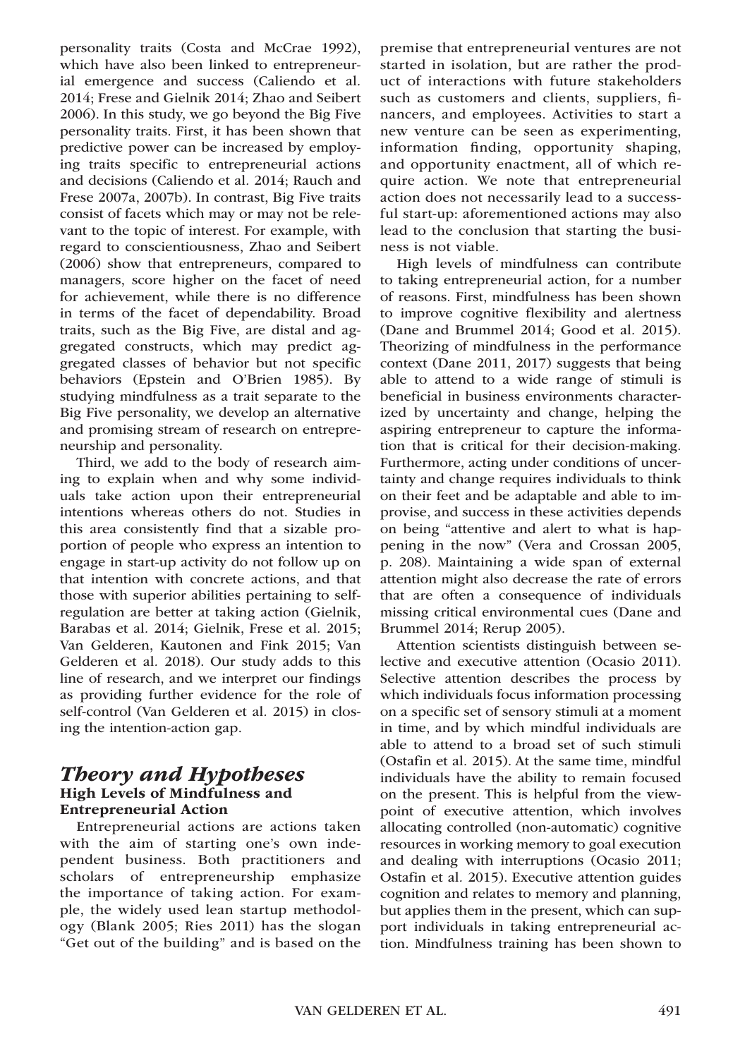personality traits (Costa and McCrae 1992), which have also been linked to entrepreneurial emergence and success (Caliendo et al*.* 2014; Frese and Gielnik 2014; Zhao and Seibert 2006). In this study, we go beyond the Big Five personality traits. First, it has been shown that predictive power can be increased by employing traits specific to entrepreneurial actions and decisions (Caliendo et al*.* 2014; Rauch and Frese 2007a, 2007b). In contrast, Big Five traits consist of facets which may or may not be relevant to the topic of interest. For example, with regard to conscientiousness, Zhao and Seibert (2006) show that entrepreneurs, compared to managers, score higher on the facet of need for achievement, while there is no difference in terms of the facet of dependability. Broad traits, such as the Big Five, are distal and aggregated constructs, which may predict aggregated classes of behavior but not specific behaviors (Epstein and O'Brien 1985). By studying mindfulness as a trait separate to the Big Five personality, we develop an alternative and promising stream of research on entrepreneurship and personality.

Third, we add to the body of research aiming to explain when and why some individuals take action upon their entrepreneurial intentions whereas others do not. Studies in this area consistently find that a sizable proportion of people who express an intention to engage in start-up activity do not follow up on that intention with concrete actions, and that those with superior abilities pertaining to selfregulation are better at taking action (Gielnik, Barabas et al*.* 2014; Gielnik, Frese et al*.* 2015; Van Gelderen, Kautonen and Fink 2015; Van Gelderen et al*.* 2018). Our study adds to this line of research, and we interpret our findings as providing further evidence for the role of self-control (Van Gelderen et al*.* 2015) in closing the intention-action gap.

## *Theory and Hypotheses* High Levels of Mindfulness and Entrepreneurial Action

Entrepreneurial actions are actions taken with the aim of starting one's own independent business. Both practitioners and scholars of entrepreneurship emphasize the importance of taking action. For example, the widely used lean startup methodology (Blank 2005; Ries 2011) has the slogan "Get out of the building" and is based on the

premise that entrepreneurial ventures are not started in isolation, but are rather the product of interactions with future stakeholders such as customers and clients, suppliers, financers, and employees. Activities to start a new venture can be seen as experimenting, information finding, opportunity shaping, and opportunity enactment, all of which require action. We note that entrepreneurial action does not necessarily lead to a successful start-up: aforementioned actions may also lead to the conclusion that starting the business is not viable.

High levels of mindfulness can contribute to taking entrepreneurial action, for a number of reasons. First, mindfulness has been shown to improve cognitive flexibility and alertness (Dane and Brummel 2014; Good et al*.* 2015). Theorizing of mindfulness in the performance context (Dane 2011, 2017) suggests that being able to attend to a wide range of stimuli is beneficial in business environments characterized by uncertainty and change, helping the aspiring entrepreneur to capture the information that is critical for their decision-making. Furthermore, acting under conditions of uncertainty and change requires individuals to think on their feet and be adaptable and able to improvise, and success in these activities depends on being "attentive and alert to what is happening in the now" (Vera and Crossan 2005, p. 208). Maintaining a wide span of external attention might also decrease the rate of errors that are often a consequence of individuals missing critical environmental cues (Dane and Brummel 2014; Rerup 2005).

Attention scientists distinguish between selective and executive attention (Ocasio 2011). Selective attention describes the process by which individuals focus information processing on a specific set of sensory stimuli at a moment in time, and by which mindful individuals are able to attend to a broad set of such stimuli (Ostafin et al*.* 2015). At the same time, mindful individuals have the ability to remain focused on the present. This is helpful from the viewpoint of executive attention, which involves allocating controlled (non-automatic) cognitive resources in working memory to goal execution and dealing with interruptions (Ocasio 2011; Ostafin et al*.* 2015). Executive attention guides cognition and relates to memory and planning, but applies them in the present, which can support individuals in taking entrepreneurial action. Mindfulness training has been shown to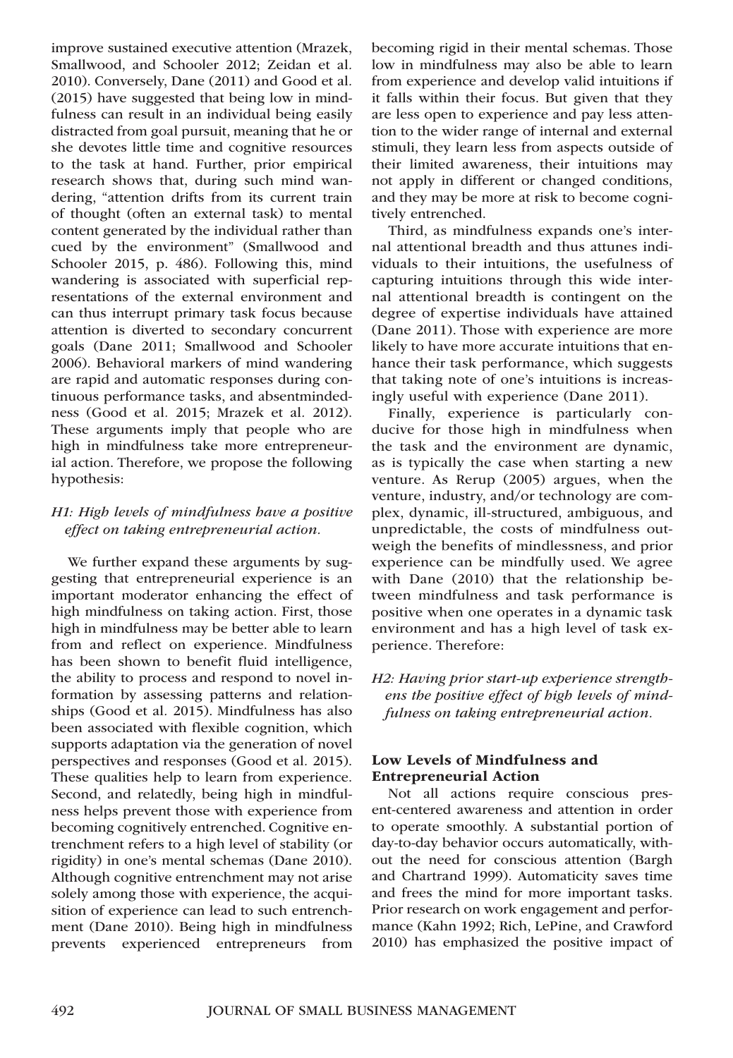improve sustained executive attention (Mrazek, Smallwood, and Schooler 2012; Zeidan et al*.* 2010). Conversely, Dane (2011) and Good et al*.*  (2015) have suggested that being low in mindfulness can result in an individual being easily distracted from goal pursuit, meaning that he or she devotes little time and cognitive resources to the task at hand. Further, prior empirical research shows that, during such mind wandering, "attention drifts from its current train of thought (often an external task) to mental content generated by the individual rather than cued by the environment" (Smallwood and Schooler 2015, p. 486). Following this, mind wandering is associated with superficial representations of the external environment and can thus interrupt primary task focus because attention is diverted to secondary concurrent goals (Dane 2011; Smallwood and Schooler 2006). Behavioral markers of mind wandering are rapid and automatic responses during continuous performance tasks, and absentmindedness (Good et al*.* 2015; Mrazek et al*.* 2012). These arguments imply that people who are high in mindfulness take more entrepreneurial action. Therefore, we propose the following hypothesis:

### *H1: High levels of mindfulness have a positive effect on taking entrepreneurial action.*

We further expand these arguments by suggesting that entrepreneurial experience is an important moderator enhancing the effect of high mindfulness on taking action. First, those high in mindfulness may be better able to learn from and reflect on experience. Mindfulness has been shown to benefit fluid intelligence, the ability to process and respond to novel information by assessing patterns and relationships (Good et al*.* 2015). Mindfulness has also been associated with flexible cognition, which supports adaptation via the generation of novel perspectives and responses (Good et al*.* 2015). These qualities help to learn from experience. Second, and relatedly, being high in mindfulness helps prevent those with experience from becoming cognitively entrenched. Cognitive entrenchment refers to a high level of stability (or rigidity) in one's mental schemas (Dane 2010). Although cognitive entrenchment may not arise solely among those with experience, the acquisition of experience can lead to such entrenchment (Dane 2010). Being high in mindfulness prevents experienced entrepreneurs from

becoming rigid in their mental schemas. Those low in mindfulness may also be able to learn from experience and develop valid intuitions if it falls within their focus. But given that they are less open to experience and pay less attention to the wider range of internal and external stimuli, they learn less from aspects outside of their limited awareness, their intuitions may not apply in different or changed conditions, and they may be more at risk to become cognitively entrenched.

Third, as mindfulness expands one's internal attentional breadth and thus attunes individuals to their intuitions, the usefulness of capturing intuitions through this wide internal attentional breadth is contingent on the degree of expertise individuals have attained (Dane 2011). Those with experience are more likely to have more accurate intuitions that enhance their task performance, which suggests that taking note of one's intuitions is increasingly useful with experience (Dane 2011).

Finally, experience is particularly conducive for those high in mindfulness when the task and the environment are dynamic, as is typically the case when starting a new venture. As Rerup (2005) argues, when the venture, industry, and/or technology are complex, dynamic, ill-structured, ambiguous, and unpredictable, the costs of mindfulness outweigh the benefits of mindlessness, and prior experience can be mindfully used. We agree with Dane (2010) that the relationship between mindfulness and task performance is positive when one operates in a dynamic task environment and has a high level of task experience. Therefore:

*H2: Having prior start-up experience strengthens the positive effect of high levels of mindfulness on taking entrepreneurial action.*

#### Low Levels of Mindfulness and Entrepreneurial Action

Not all actions require conscious present-centered awareness and attention in order to operate smoothly. A substantial portion of day-to-day behavior occurs automatically, without the need for conscious attention (Bargh and Chartrand 1999). Automaticity saves time and frees the mind for more important tasks. Prior research on work engagement and performance (Kahn 1992; Rich, LePine, and Crawford 2010) has emphasized the positive impact of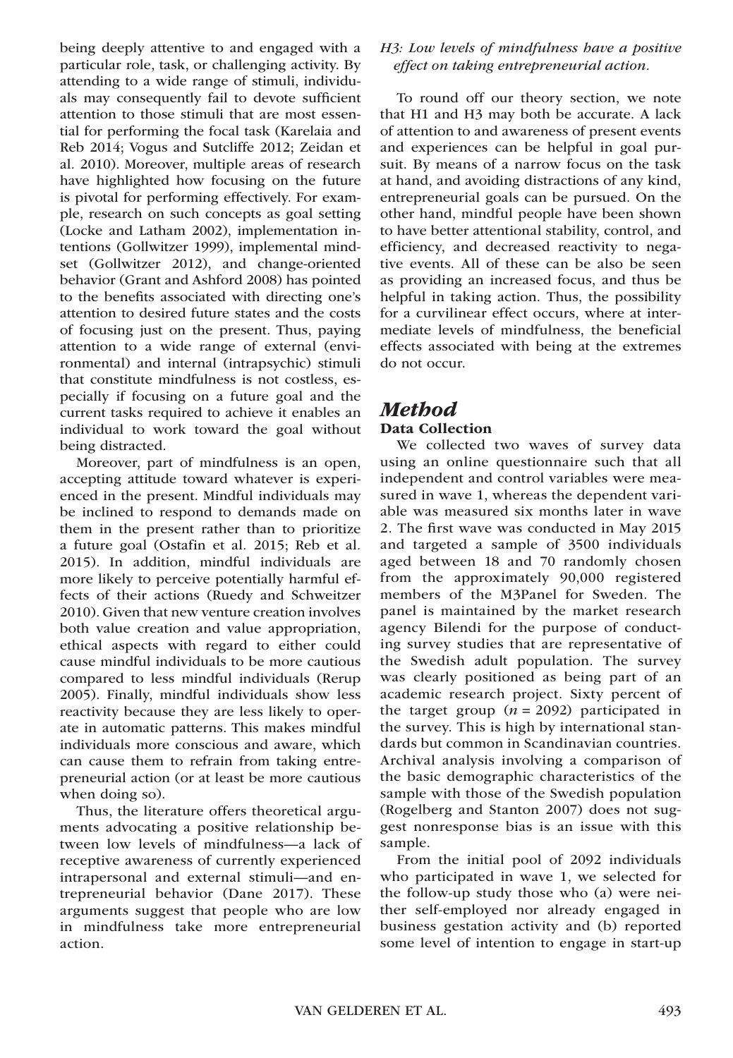being deeply attentive to and engaged with a particular role, task, or challenging activity. By attending to a wide range of stimuli, individuals may consequently fail to devote sufficient attention to those stimuli that are most essential for performing the focal task (Karelaia and Reb 2014; Vogus and Sutcliffe 2012; Zeidan et al*.* 2010). Moreover, multiple areas of research have highlighted how focusing on the future is pivotal for performing effectively. For example, research on such concepts as goal setting (Locke and Latham 2002), implementation intentions (Gollwitzer 1999), implemental mindset (Gollwitzer 2012), and change-oriented behavior (Grant and Ashford 2008) has pointed to the benefits associated with directing one's attention to desired future states and the costs of focusing just on the present. Thus, paying attention to a wide range of external (environmental) and internal (intrapsychic) stimuli that constitute mindfulness is not costless, especially if focusing on a future goal and the current tasks required to achieve it enables an individual to work toward the goal without being distracted.

Moreover, part of mindfulness is an open, accepting attitude toward whatever is experienced in the present. Mindful individuals may be inclined to respond to demands made on them in the present rather than to prioritize a future goal (Ostafin et al*.* 2015; Reb et al*.* 2015). In addition, mindful individuals are more likely to perceive potentially harmful effects of their actions (Ruedy and Schweitzer 2010). Given that new venture creation involves both value creation and value appropriation, ethical aspects with regard to either could cause mindful individuals to be more cautious compared to less mindful individuals (Rerup 2005). Finally, mindful individuals show less reactivity because they are less likely to operate in automatic patterns. This makes mindful individuals more conscious and aware, which can cause them to refrain from taking entrepreneurial action (or at least be more cautious when doing so).

Thus, the literature offers theoretical arguments advocating a positive relationship between low levels of mindfulness—a lack of receptive awareness of currently experienced intrapersonal and external stimuli—and entrepreneurial behavior (Dane 2017). These arguments suggest that people who are low in mindfulness take more entrepreneurial action.

#### *H3: Low levels of mindfulness have a positive effect on taking entrepreneurial action.*

To round off our theory section, we note that H1 and H3 may both be accurate. A lack of attention to and awareness of present events and experiences can be helpful in goal pursuit. By means of a narrow focus on the task at hand, and avoiding distractions of any kind, entrepreneurial goals can be pursued. On the other hand, mindful people have been shown to have better attentional stability, control, and efficiency, and decreased reactivity to negative events. All of these can be also be seen as providing an increased focus, and thus be helpful in taking action. Thus, the possibility for a curvilinear effect occurs, where at intermediate levels of mindfulness, the beneficial effects associated with being at the extremes do not occur.

## *Method* Data Collection

We collected two waves of survey data using an online questionnaire such that all independent and control variables were measured in wave 1, whereas the dependent variable was measured six months later in wave 2. The first wave was conducted in May 2015 and targeted a sample of 3500 individuals aged between 18 and 70 randomly chosen from the approximately 90,000 registered members of the M3Panel for Sweden. The panel is maintained by the market research agency Bilendi for the purpose of conducting survey studies that are representative of the Swedish adult population. The survey was clearly positioned as being part of an academic research project. Sixty percent of the target group  $(n = 2092)$  participated in the survey. This is high by international standards but common in Scandinavian countries. Archival analysis involving a comparison of the basic demographic characteristics of the sample with those of the Swedish population (Rogelberg and Stanton 2007) does not suggest nonresponse bias is an issue with this sample.

From the initial pool of 2092 individuals who participated in wave 1, we selected for the follow-up study those who (a) were neither self-employed nor already engaged in business gestation activity and (b) reported some level of intention to engage in start-up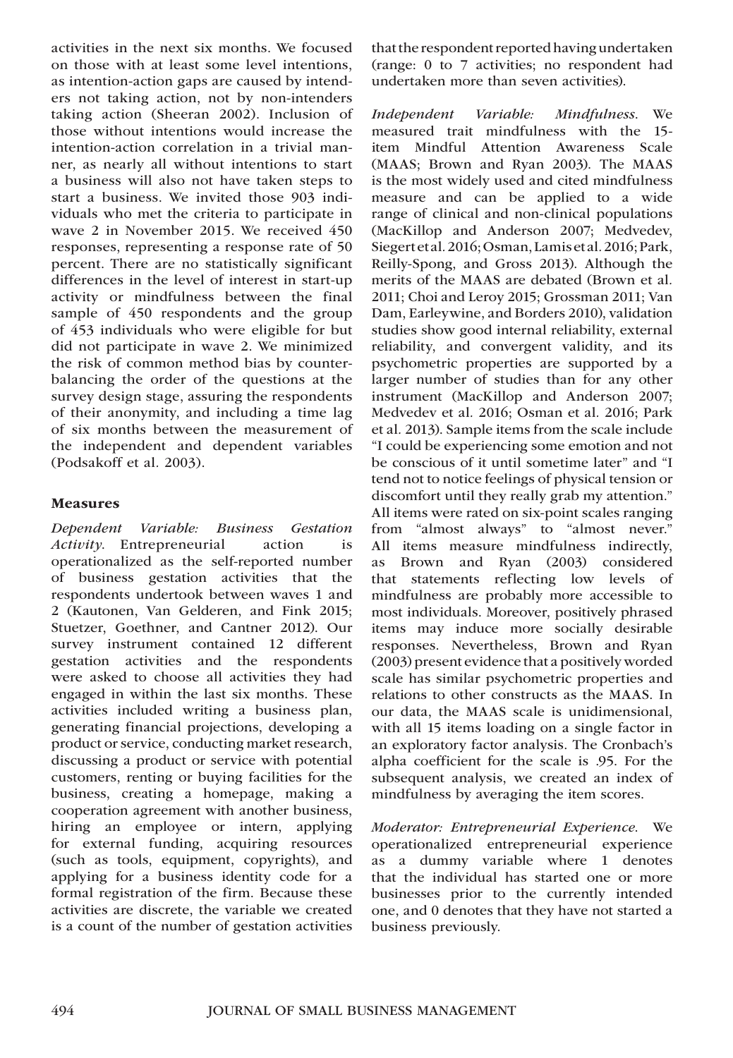activities in the next six months. We focused on those with at least some level intentions, as intention-action gaps are caused by intenders not taking action, not by non-intenders taking action (Sheeran 2002). Inclusion of those without intentions would increase the intention-action correlation in a trivial manner, as nearly all without intentions to start a business will also not have taken steps to start a business. We invited those 903 individuals who met the criteria to participate in wave 2 in November 2015. We received 450 responses, representing a response rate of 50 percent. There are no statistically significant differences in the level of interest in start-up activity or mindfulness between the final sample of 450 respondents and the group of 453 individuals who were eligible for but did not participate in wave 2. We minimized the risk of common method bias by counterbalancing the order of the questions at the survey design stage, assuring the respondents of their anonymity, and including a time lag of six months between the measurement of the independent and dependent variables (Podsakoff et al*.* 2003).

#### **Measures**

*Dependent Variable: Business Gestation Activity*. Entrepreneurial action is operationalized as the self-reported number of business gestation activities that the respondents undertook between waves 1 and 2 (Kautonen, Van Gelderen, and Fink 2015; Stuetzer, Goethner, and Cantner 2012). Our survey instrument contained 12 different gestation activities and the respondents were asked to choose all activities they had engaged in within the last six months. These activities included writing a business plan, generating financial projections, developing a product or service, conducting market research, discussing a product or service with potential customers, renting or buying facilities for the business, creating a homepage, making a cooperation agreement with another business, hiring an employee or intern, applying for external funding, acquiring resources (such as tools, equipment, copyrights), and applying for a business identity code for a formal registration of the firm. Because these activities are discrete, the variable we created is a count of the number of gestation activities

that the respondent reported having undertaken (range: 0 to 7 activities; no respondent had undertaken more than seven activities).

*Independent Variable: Mindfulness*. We measured trait mindfulness with the 15 item Mindful Attention Awareness Scale (MAAS; Brown and Ryan 2003). The MAAS is the most widely used and cited mindfulness measure and can be applied to a wide range of clinical and non-clinical populations (MacKillop and Anderson 2007; Medvedev, Siegert et al*.* 2016; Osman, Lamis et al*.* 2016; Park, Reilly-Spong, and Gross 2013). Although the merits of the MAAS are debated (Brown et al*.* 2011; Choi and Leroy 2015; Grossman 2011; Van Dam, Earleywine, and Borders 2010), validation studies show good internal reliability, external reliability, and convergent validity, and its psychometric properties are supported by a larger number of studies than for any other instrument (MacKillop and Anderson 2007; Medvedev et al*.* 2016; Osman et al*.* 2016; Park et al*.* 2013). Sample items from the scale include "I could be experiencing some emotion and not be conscious of it until sometime later" and "I tend not to notice feelings of physical tension or discomfort until they really grab my attention." All items were rated on six-point scales ranging from "almost always" to "almost never." All items measure mindfulness indirectly, as Brown and Ryan (2003) considered that statements reflecting low levels of mindfulness are probably more accessible to most individuals. Moreover, positively phrased items may induce more socially desirable responses. Nevertheless, Brown and Ryan (2003) present evidence that a positively worded scale has similar psychometric properties and relations to other constructs as the MAAS. In our data, the MAAS scale is unidimensional, with all 15 items loading on a single factor in an exploratory factor analysis. The Cronbach's alpha coefficient for the scale is .95. For the subsequent analysis, we created an index of mindfulness by averaging the item scores.

*Moderator: Entrepreneurial Experience*. We operationalized entrepreneurial experience as a dummy variable where 1 denotes that the individual has started one or more businesses prior to the currently intended one, and 0 denotes that they have not started a business previously.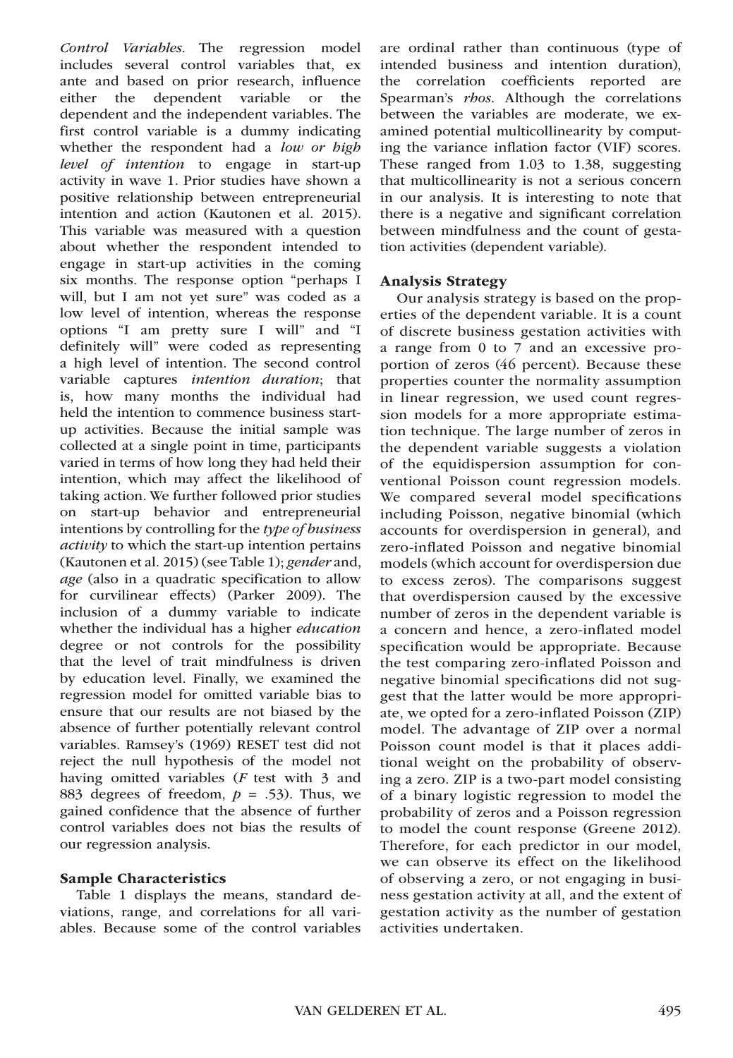*Control Variables*. The regression model includes several control variables that, ex ante and based on prior research, influence either the dependent variable or the dependent and the independent variables. The first control variable is a dummy indicating whether the respondent had a *low or high level of intention* to engage in start-up activity in wave 1. Prior studies have shown a positive relationship between entrepreneurial intention and action (Kautonen et al*.* 2015). This variable was measured with a question about whether the respondent intended to engage in start-up activities in the coming six months. The response option "perhaps I will, but I am not yet sure" was coded as a low level of intention, whereas the response options "I am pretty sure I will" and "I definitely will" were coded as representing a high level of intention. The second control variable captures *intention duration*; that is, how many months the individual had held the intention to commence business startup activities. Because the initial sample was collected at a single point in time, participants varied in terms of how long they had held their intention, which may affect the likelihood of taking action. We further followed prior studies on start-up behavior and entrepreneurial intentions by controlling for the *type of business activity* to which the start-up intention pertains (Kautonen et al*.* 2015) (see Table 1); *gender* and, *age* (also in a quadratic specification to allow for curvilinear effects) (Parker 2009). The inclusion of a dummy variable to indicate whether the individual has a higher *education* degree or not controls for the possibility that the level of trait mindfulness is driven by education level. Finally, we examined the regression model for omitted variable bias to ensure that our results are not biased by the absence of further potentially relevant control variables. Ramsey's (1969) RESET test did not reject the null hypothesis of the model not having omitted variables (*F* test with 3 and 883 degrees of freedom,  $p = .53$ ). Thus, we gained confidence that the absence of further control variables does not bias the results of our regression analysis.

#### Sample Characteristics

Table 1 displays the means, standard deviations, range, and correlations for all variables. Because some of the control variables are ordinal rather than continuous (type of intended business and intention duration), the correlation coefficients reported are Spearman's *rhos*. Although the correlations between the variables are moderate, we examined potential multicollinearity by computing the variance inflation factor (VIF) scores. These ranged from 1.03 to 1.38, suggesting that multicollinearity is not a serious concern in our analysis. It is interesting to note that there is a negative and significant correlation between mindfulness and the count of gestation activities (dependent variable).

#### Analysis Strategy

Our analysis strategy is based on the properties of the dependent variable. It is a count of discrete business gestation activities with a range from 0 to 7 and an excessive proportion of zeros (46 percent). Because these properties counter the normality assumption in linear regression, we used count regression models for a more appropriate estimation technique. The large number of zeros in the dependent variable suggests a violation of the equidispersion assumption for conventional Poisson count regression models. We compared several model specifications including Poisson, negative binomial (which accounts for overdispersion in general), and zero-inflated Poisson and negative binomial models (which account for overdispersion due to excess zeros). The comparisons suggest that overdispersion caused by the excessive number of zeros in the dependent variable is a concern and hence, a zero-inflated model specification would be appropriate. Because the test comparing zero-inflated Poisson and negative binomial specifications did not suggest that the latter would be more appropriate, we opted for a zero-inflated Poisson (ZIP) model. The advantage of ZIP over a normal Poisson count model is that it places additional weight on the probability of observing a zero. ZIP is a two-part model consisting of a binary logistic regression to model the probability of zeros and a Poisson regression to model the count response (Greene 2012). Therefore, for each predictor in our model, we can observe its effect on the likelihood of observing a zero, or not engaging in business gestation activity at all, and the extent of gestation activity as the number of gestation activities undertaken.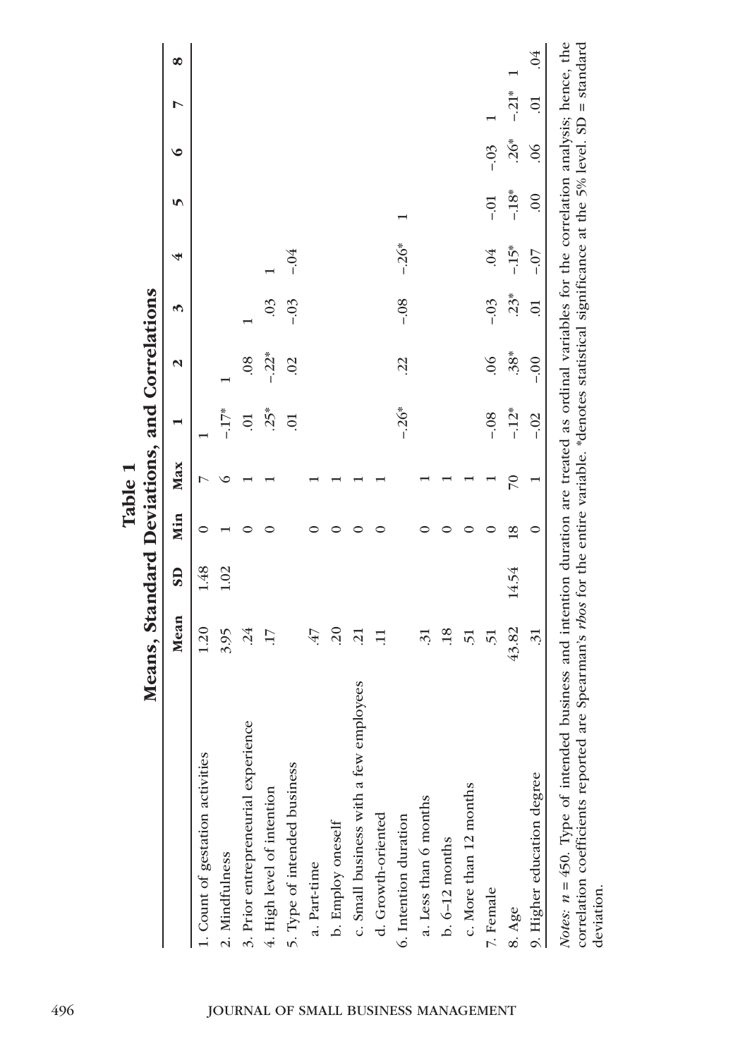|                                        | Means, Standard Deviations, and Correlations |                         |         |           |                  |                       |                     |         |         |               |                |     |
|----------------------------------------|----------------------------------------------|-------------------------|---------|-----------|------------------|-----------------------|---------------------|---------|---------|---------------|----------------|-----|
|                                        | Mean                                         | $\overline{\mathbf{S}}$ | Min     | Max       | $\blacksquare$   | $\mathbf{\mathbf{z}}$ | S                   | ◀       | 5       | ৩             | ↖              | 8   |
| 1. Count of gestation activities       | 1.20                                         | 1.48                    | 0       |           |                  |                       |                     |         |         |               |                |     |
| 2. Mindfulness                         | 3.95                                         | 1.02                    |         |           | $-17*$           |                       |                     |         |         |               |                |     |
| 3. Prior entrepreneurial experience    | .24                                          |                         | 0       |           | $\overline{0}$ . | 08                    |                     |         |         |               |                |     |
| 4. High level of intention             | $\overline{17}$                              |                         | 0       |           | $25*$            | $-.22*$               | $\ddot{\mathrm{c}}$ |         |         |               |                |     |
| 5. Type of intended business           |                                              |                         |         |           | $\overline{C}$   | $\overline{0}$        | $-03$               | $-0.4$  |         |               |                |     |
| a. Part-time                           | 47                                           |                         |         |           |                  |                       |                     |         |         |               |                |     |
| b. Employ oneself                      | $\overline{.20}$                             |                         | 0       |           |                  |                       |                     |         |         |               |                |     |
| c. Small business with a few employees | $\overline{c}$                               |                         | 0       |           |                  |                       |                     |         |         |               |                |     |
| d. Growth-oriented                     | $\Xi$                                        |                         | 0       |           |                  |                       |                     |         |         |               |                |     |
| 6. Intention duration                  |                                              |                         |         |           | $-.26*$          | 22                    | $-0.8$              | $-.26*$ |         |               |                |     |
| a. Less than 6 months                  | $\ddot{31}$                                  |                         |         |           |                  |                       |                     |         |         |               |                |     |
| $b.6-12$ months                        | .18                                          |                         | 0       |           |                  |                       |                     |         |         |               |                |     |
| c. More than 12 months                 | $\overline{51}$                              |                         | 0       |           |                  |                       |                     |         |         |               |                |     |
| 7. Female                              | $\overline{51}$                              |                         | 0       |           | $-0.08$          | $\sim$                | $-0.03$             | .04     | $-0.01$ | $-0.03$       |                |     |
| 8. Age                                 | 43.82                                        | 14.54                   | 18      | $\approx$ | $-12*$           | $.38*$                | $.23*$              | $-15*$  | $-18*$  | $.26*$        | $-.21*$        |     |
| 9. Higher education degree             | $\ddot{31}$                                  |                         | $\circ$ |           | $-.02$           | $-0.0$                | $\overline{0}$      | $-0$    | 00      | $\frac{6}{1}$ | $\ddot{\circ}$ | .04 |

correlation coefficients reported are Spearman's *rhos* for the entire variable. \*denotes statistical significance at the 5% level. SD = standard deviation. deviation.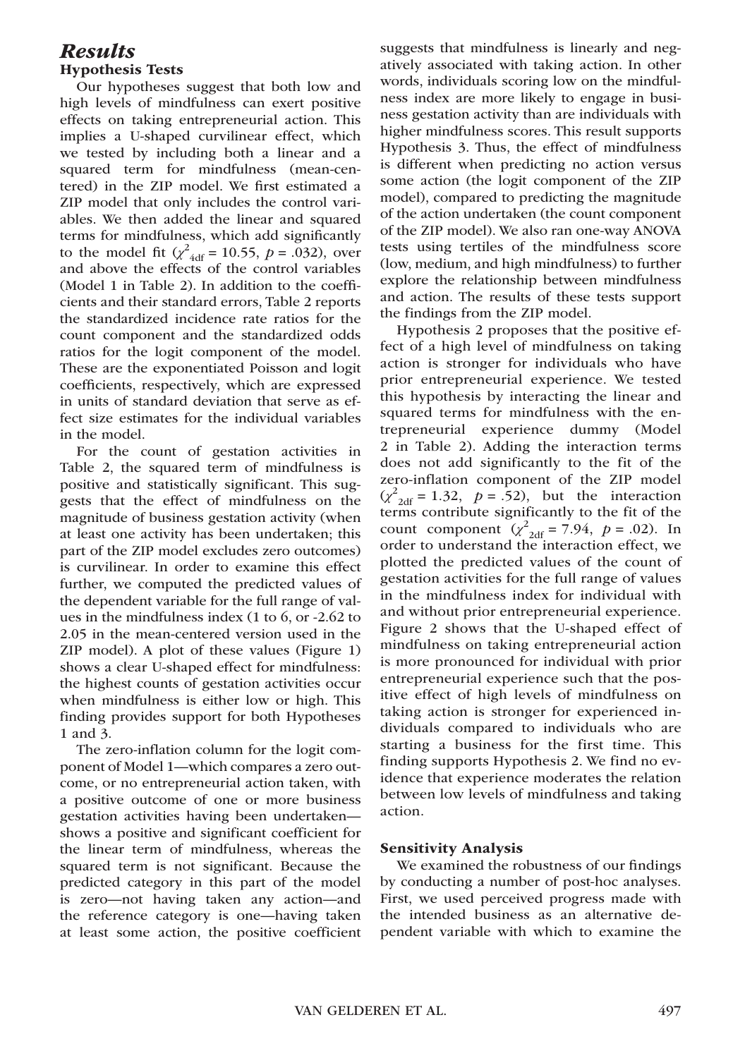### *Results* Hypothesis Tests

Our hypotheses suggest that both low and high levels of mindfulness can exert positive effects on taking entrepreneurial action. This implies a U-shaped curvilinear effect, which we tested by including both a linear and a squared term for mindfulness (mean-centered) in the ZIP model. We first estimated a ZIP model that only includes the control variables. We then added the linear and squared terms for mindfulness, which add significantly to the model fit  $(\chi^2_{\text{4df}} = 10.55, p = .032)$ , over and above the effects of the control variables (Model 1 in Table 2). In addition to the coefficients and their standard errors, Table 2 reports the standardized incidence rate ratios for the count component and the standardized odds ratios for the logit component of the model. These are the exponentiated Poisson and logit coefficients, respectively, which are expressed in units of standard deviation that serve as effect size estimates for the individual variables in the model.

For the count of gestation activities in Table 2, the squared term of mindfulness is positive and statistically significant. This suggests that the effect of mindfulness on the magnitude of business gestation activity (when at least one activity has been undertaken; this part of the ZIP model excludes zero outcomes) is curvilinear. In order to examine this effect further, we computed the predicted values of the dependent variable for the full range of values in the mindfulness index (1 to 6, or -2.62 to 2.05 in the mean-centered version used in the ZIP model). A plot of these values (Figure 1) shows a clear U-shaped effect for mindfulness: the highest counts of gestation activities occur when mindfulness is either low or high. This finding provides support for both Hypotheses 1 and 3.

The zero-inflation column for the logit component of Model 1—which compares a zero outcome, or no entrepreneurial action taken, with a positive outcome of one or more business gestation activities having been undertaken shows a positive and significant coefficient for the linear term of mindfulness, whereas the squared term is not significant. Because the predicted category in this part of the model is zero—not having taken any action—and the reference category is one—having taken at least some action, the positive coefficient

suggests that mindfulness is linearly and negatively associated with taking action. In other words, individuals scoring low on the mindfulness index are more likely to engage in business gestation activity than are individuals with higher mindfulness scores. This result supports Hypothesis 3. Thus, the effect of mindfulness is different when predicting no action versus some action (the logit component of the ZIP model), compared to predicting the magnitude of the action undertaken (the count component of the ZIP model). We also ran one-way ANOVA tests using tertiles of the mindfulness score (low, medium, and high mindfulness) to further explore the relationship between mindfulness and action. The results of these tests support the findings from the ZIP model.

Hypothesis 2 proposes that the positive effect of a high level of mindfulness on taking action is stronger for individuals who have prior entrepreneurial experience. We tested this hypothesis by interacting the linear and squared terms for mindfulness with the entrepreneurial experience dummy (Model 2 in Table 2). Adding the interaction terms does not add significantly to the fit of the zero-inflation component of the ZIP model  $(\chi^2_{2df} = 1.32, p = .52)$ , but the interaction terms contribute significantly to the fit of the count component  $(\chi^2_{2df} = 7.94, p = .02)$ . In order to understand the interaction effect, we plotted the predicted values of the count of gestation activities for the full range of values in the mindfulness index for individual with and without prior entrepreneurial experience. Figure 2 shows that the U-shaped effect of mindfulness on taking entrepreneurial action is more pronounced for individual with prior entrepreneurial experience such that the positive effect of high levels of mindfulness on taking action is stronger for experienced individuals compared to individuals who are starting a business for the first time. This finding supports Hypothesis 2. We find no evidence that experience moderates the relation between low levels of mindfulness and taking action.

#### Sensitivity Analysis

We examined the robustness of our findings by conducting a number of post-hoc analyses. First, we used perceived progress made with the intended business as an alternative dependent variable with which to examine the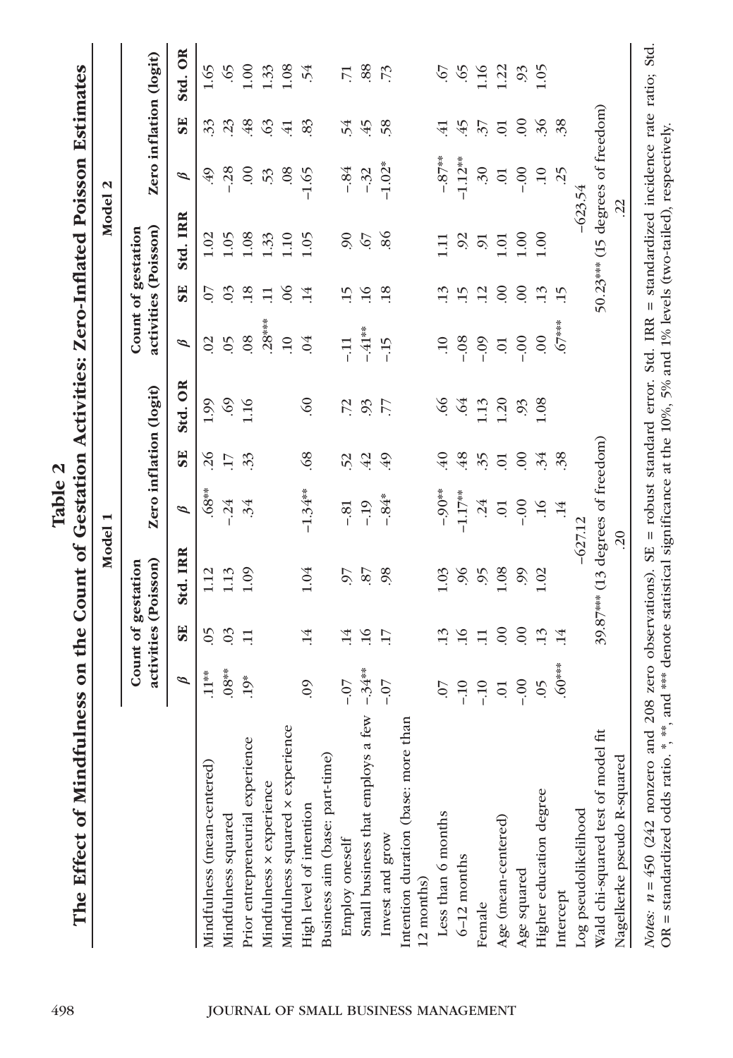|                                     |                |                 | Model 1                                    |                |                           |                        |                  |                  | Model                                      | $\mathbf{\Omega}$      |                 |                  |
|-------------------------------------|----------------|-----------------|--------------------------------------------|----------------|---------------------------|------------------------|------------------|------------------|--------------------------------------------|------------------------|-----------------|------------------|
|                                     |                |                 | activities (Poisson)<br>Count of gestation |                |                           | Zero inflation (logit) |                  |                  | activities (Poisson)<br>Count of gestation | Zero inflation (logit) |                 |                  |
|                                     | $\mathscr{D}$  | SE              | Std. IRR                                   | B              | SE                        | Std. OR                | $\mathscr{D}$    | SE <sub></sub>   | Std. IRR                                   | $\mathscr{P}$          | SE              | Std. OR          |
| Mindfulness (mean-centered)         | $.11***$       | $\overline{6}$  | 1.12                                       | .68**          | $\frac{26}{5}$            | 1.99                   | $\mathbf{S}$     | $\overline{6}$   | 1.02                                       | $\ddot{ }$             | 33              | 1.65             |
| Mindfulness squared                 | $.08**$        | 03              | 1.13                                       | $-24$          | $\overline{17}$           | 69.                    | 65               | 03               | 1.05                                       | $-0.28$                | 23              | $\widetilde{.}9$ |
| Prior entrepreneurial experience    | $19*$          | $\Xi$           | 1.09                                       | 34             | 33                        | 1.16                   | $08$             | $\overline{.18}$ | 1.08                                       | 00                     | 48              | 1.00             |
| Mindfulness x experience            |                |                 |                                            |                |                           |                        | $.28***$         | $\Xi$            | 1.33                                       | 53                     | 63              | 1.33             |
| Mindfulness squared x experience    |                |                 |                                            |                |                           |                        | $\overline{.10}$ | $\delta$ .       | 1.10                                       | 08                     | $\overline{41}$ | 1.08             |
| High level of intention             | <b>90.</b>     | $\overline{14}$ | 1.04                                       | $-1.34***$     | 68                        | 60                     | 04               | 14               | 1.05                                       | $-1.65$                | 83              | 54               |
| Business aim (base: part-time)      |                |                 |                                            |                |                           |                        |                  |                  |                                            |                        |                 |                  |
| Employ oneself                      | $-0.7$         | 14              | 60                                         | $-81$          | $\widetilde{\mathcal{S}}$ | $\ddot{z}$             | 류                | $\ddot{15}$      | $\delta$                                   | $-84$                  | 54              | $\overline{71}$  |
| Small business that employs a few   | $-.34***$      | $\overline{5}$  | 87                                         | $-19$          | 42                        | 93                     | $-.41***$        | $\overline{5}$   | $\ddot{\circ}$                             | $-32$                  | 45              | .88              |
| Invest and grow                     | $-0$           | $\overline{17}$ | 98                                         | $-84*$         | 49                        | 77                     | $-15$            | $\overline{18}$  | 86                                         | $-1.02*$               | 58              | .73              |
| Intention duration (base: more than |                |                 |                                            |                |                           |                        |                  |                  |                                            |                        |                 |                  |
| 12 months)                          |                |                 |                                            |                |                           |                        |                  |                  |                                            |                        |                 |                  |
| Less than 6 months                  | $\overline{0}$ | 13              | 1.03                                       | $-90**$        | $\overline{40}$           | $\frac{66}{5}$         | 10               | $\frac{3}{2}$    | Ξ                                          | $-87**$                | $\overline{41}$ | $\ddot{6}$       |
| $6-12$ months                       | $-10$          | $\overline{16}$ | $\delta$                                   | $-1.17***$     | 48                        | .64                    | $-0.8$           | $\ddot{5}$       | 92                                         | $-1.12**$              | 45              | $\widetilde{6}$  |
| Female                              | $-10$          | $\Xi$           | 65                                         | .24            | 35                        | 1.13                   | $-0.09$          | $\overline{12}$  | $\tilde{\mathcal{E}}$                      | $\ddot{.}6$            | $\overline{37}$ | 1.16             |
| Age (mean-centered)                 | 5.             | $\overline{0}$  | 1.08                                       | $\overline{0}$ | $\overline{0}$            | 1.20                   | 5.               | $\odot$          | 1.01                                       | $\overline{0}$         | $\overline{0}$  | 1.22             |
| Age squared                         | $-0.0$         | $\infty$        | 66                                         | $-0.00$        | $\infty$                  | 93                     | $-0.0$           | $\infty$         | 0.00                                       | $-0.00$                | $\overline{0}$  | 93               |
| Higher education degree             | 65             | 13              | 1.02                                       | $\frac{1}{6}$  | 34                        | 0.08                   | 00               | $\ddot{13}$      | 1.00                                       | $\ddot{=}$             | 36              | 1.05             |
| Intercept                           | $***00.$       | 14              |                                            | .14            | 38                        |                        | $.67***$         | $\ddot{15}$      |                                            | $\ddot{c}$             | 38              |                  |
| Log pseudolikelihood                |                |                 | $-627.12$                                  |                |                           |                        |                  |                  | $-623.54$                                  |                        |                 |                  |
| Wald chi-squared test of model fit  |                |                 | 39.87**** (13 degrees of freedom)          |                |                           |                        |                  |                  | 50.23**** (15 degrees of freedom)          |                        |                 |                  |
| Nagelkerke pseudo R-squared         |                |                 | <b>20</b>                                  |                |                           |                        |                  |                  | 22                                         |                        |                 |                  |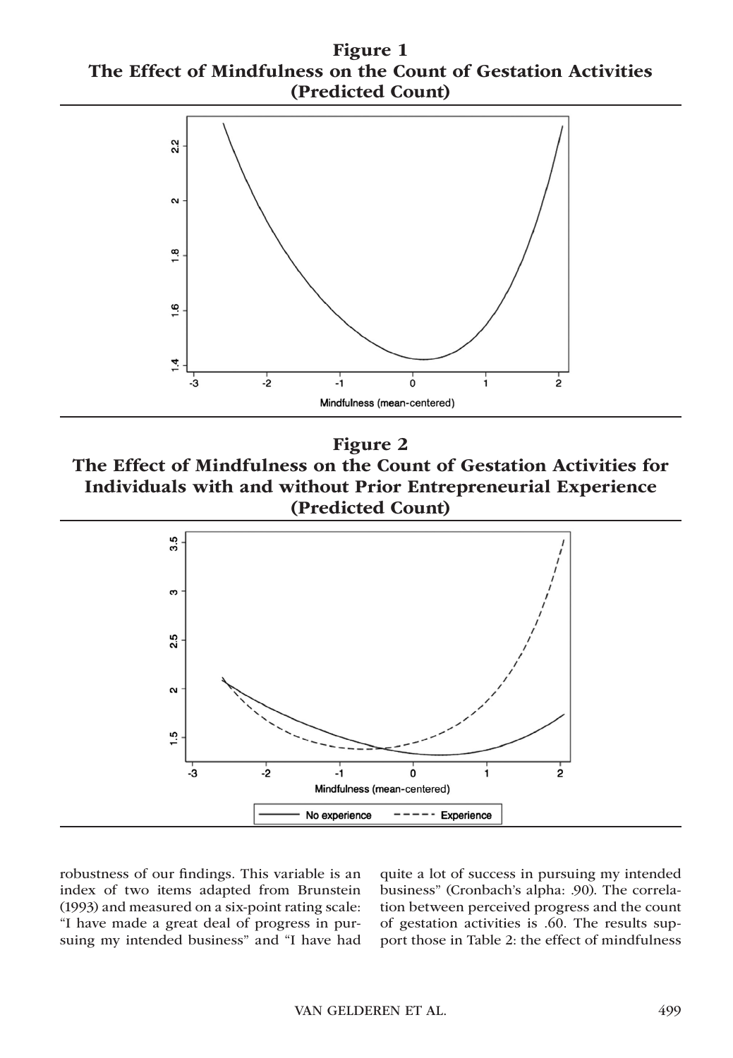Figure 1 The Effect of Mindfulness on the Count of Gestation Activities (Predicted Count)



## Figure 2

The Effect of Mindfulness on the Count of Gestation Activities for Individuals with and without Prior Entrepreneurial Experience (Predicted Count)



robustness of our findings. This variable is an index of two items adapted from Brunstein (1993) and measured on a six-point rating scale: "I have made a great deal of progress in pursuing my intended business" and "I have had quite a lot of success in pursuing my intended business" (Cronbach's alpha: .90). The correlation between perceived progress and the count of gestation activities is .60. The results support those in Table 2: the effect of mindfulness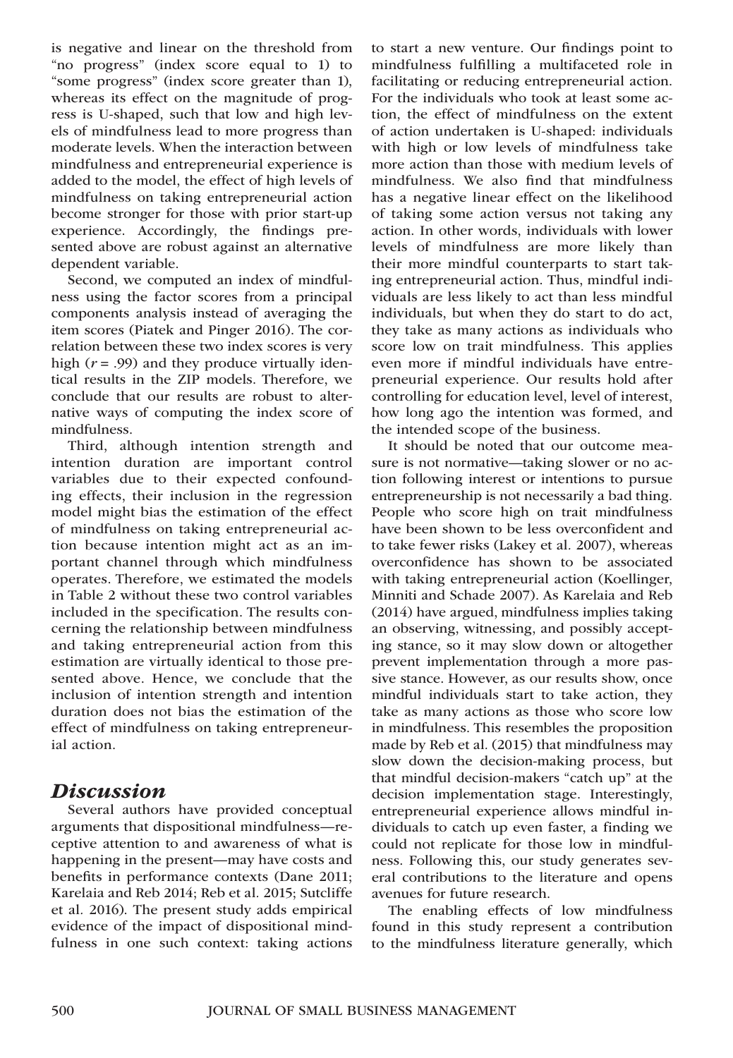is negative and linear on the threshold from "no progress" (index score equal to 1) to "some progress" (index score greater than 1), whereas its effect on the magnitude of progress is U-shaped, such that low and high levels of mindfulness lead to more progress than moderate levels. When the interaction between mindfulness and entrepreneurial experience is added to the model, the effect of high levels of mindfulness on taking entrepreneurial action become stronger for those with prior start-up experience. Accordingly, the findings presented above are robust against an alternative dependent variable.

Second, we computed an index of mindfulness using the factor scores from a principal components analysis instead of averaging the item scores (Piatek and Pinger 2016). The correlation between these two index scores is very high  $(r = .99)$  and they produce virtually identical results in the ZIP models. Therefore, we conclude that our results are robust to alternative ways of computing the index score of mindfulness.

Third, although intention strength and intention duration are important control variables due to their expected confounding effects, their inclusion in the regression model might bias the estimation of the effect of mindfulness on taking entrepreneurial action because intention might act as an important channel through which mindfulness operates. Therefore, we estimated the models in Table 2 without these two control variables included in the specification. The results concerning the relationship between mindfulness and taking entrepreneurial action from this estimation are virtually identical to those presented above. Hence, we conclude that the inclusion of intention strength and intention duration does not bias the estimation of the effect of mindfulness on taking entrepreneurial action.

# *Discussion*

Several authors have provided conceptual arguments that dispositional mindfulness—receptive attention to and awareness of what is happening in the present—may have costs and benefits in performance contexts (Dane 2011; Karelaia and Reb 2014; Reb et al*.* 2015; Sutcliffe et al*.* 2016). The present study adds empirical evidence of the impact of dispositional mindfulness in one such context: taking actions to start a new venture. Our findings point to mindfulness fulfilling a multifaceted role in facilitating or reducing entrepreneurial action. For the individuals who took at least some action, the effect of mindfulness on the extent of action undertaken is U-shaped: individuals with high or low levels of mindfulness take more action than those with medium levels of mindfulness. We also find that mindfulness has a negative linear effect on the likelihood of taking some action versus not taking any action. In other words, individuals with lower levels of mindfulness are more likely than their more mindful counterparts to start taking entrepreneurial action. Thus, mindful individuals are less likely to act than less mindful individuals, but when they do start to do act, they take as many actions as individuals who score low on trait mindfulness. This applies even more if mindful individuals have entrepreneurial experience. Our results hold after controlling for education level, level of interest, how long ago the intention was formed, and the intended scope of the business.

It should be noted that our outcome measure is not normative—taking slower or no action following interest or intentions to pursue entrepreneurship is not necessarily a bad thing. People who score high on trait mindfulness have been shown to be less overconfident and to take fewer risks (Lakey et al*.* 2007), whereas overconfidence has shown to be associated with taking entrepreneurial action (Koellinger, Minniti and Schade 2007). As Karelaia and Reb (2014) have argued, mindfulness implies taking an observing, witnessing, and possibly accepting stance, so it may slow down or altogether prevent implementation through a more passive stance. However, as our results show, once mindful individuals start to take action, they take as many actions as those who score low in mindfulness. This resembles the proposition made by Reb et al*.* (2015) that mindfulness may slow down the decision-making process, but that mindful decision-makers "catch up" at the decision implementation stage. Interestingly, entrepreneurial experience allows mindful individuals to catch up even faster, a finding we could not replicate for those low in mindfulness. Following this, our study generates several contributions to the literature and opens avenues for future research.

The enabling effects of low mindfulness found in this study represent a contribution to the mindfulness literature generally, which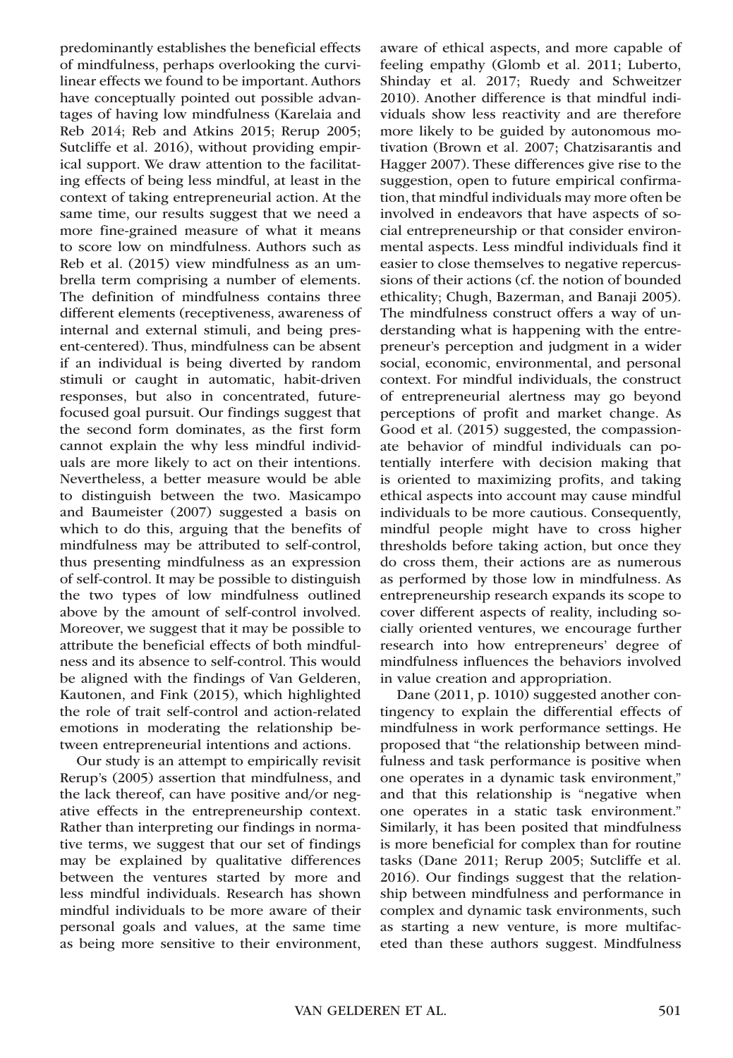predominantly establishes the beneficial effects of mindfulness, perhaps overlooking the curvilinear effects we found to be important. Authors have conceptually pointed out possible advantages of having low mindfulness (Karelaia and Reb 2014; Reb and Atkins 2015; Rerup 2005; Sutcliffe et al*.* 2016), without providing empirical support. We draw attention to the facilitating effects of being less mindful, at least in the context of taking entrepreneurial action. At the same time, our results suggest that we need a more fine-grained measure of what it means to score low on mindfulness. Authors such as Reb et al*.* (2015) view mindfulness as an umbrella term comprising a number of elements. The definition of mindfulness contains three different elements (receptiveness, awareness of internal and external stimuli, and being present-centered). Thus, mindfulness can be absent if an individual is being diverted by random stimuli or caught in automatic, habit-driven responses, but also in concentrated, futurefocused goal pursuit. Our findings suggest that the second form dominates, as the first form cannot explain the why less mindful individuals are more likely to act on their intentions. Nevertheless, a better measure would be able to distinguish between the two. Masicampo and Baumeister (2007) suggested a basis on which to do this, arguing that the benefits of mindfulness may be attributed to self-control, thus presenting mindfulness as an expression of self-control. It may be possible to distinguish the two types of low mindfulness outlined above by the amount of self-control involved. Moreover, we suggest that it may be possible to attribute the beneficial effects of both mindfulness and its absence to self-control. This would be aligned with the findings of Van Gelderen, Kautonen, and Fink (2015), which highlighted the role of trait self-control and action-related emotions in moderating the relationship between entrepreneurial intentions and actions.

Our study is an attempt to empirically revisit Rerup's (2005) assertion that mindfulness, and the lack thereof, can have positive and/or negative effects in the entrepreneurship context. Rather than interpreting our findings in normative terms, we suggest that our set of findings may be explained by qualitative differences between the ventures started by more and less mindful individuals. Research has shown mindful individuals to be more aware of their personal goals and values, at the same time as being more sensitive to their environment,

aware of ethical aspects, and more capable of feeling empathy (Glomb et al*.* 2011; Luberto, Shinday et al*.* 2017; Ruedy and Schweitzer 2010). Another difference is that mindful individuals show less reactivity and are therefore more likely to be guided by autonomous motivation (Brown et al*.* 2007; Chatzisarantis and Hagger 2007). These differences give rise to the suggestion, open to future empirical confirmation, that mindful individuals may more often be involved in endeavors that have aspects of social entrepreneurship or that consider environmental aspects. Less mindful individuals find it easier to close themselves to negative repercussions of their actions (cf. the notion of bounded ethicality; Chugh, Bazerman, and Banaji 2005). The mindfulness construct offers a way of understanding what is happening with the entrepreneur's perception and judgment in a wider social, economic, environmental, and personal context. For mindful individuals, the construct of entrepreneurial alertness may go beyond perceptions of profit and market change. As Good et al.  $(2015)$  suggested, the compassionate behavior of mindful individuals can potentially interfere with decision making that is oriented to maximizing profits, and taking ethical aspects into account may cause mindful individuals to be more cautious. Consequently, mindful people might have to cross higher thresholds before taking action, but once they do cross them, their actions are as numerous as performed by those low in mindfulness. As entrepreneurship research expands its scope to cover different aspects of reality, including socially oriented ventures, we encourage further research into how entrepreneurs' degree of mindfulness influences the behaviors involved in value creation and appropriation.

Dane (2011, p. 1010) suggested another contingency to explain the differential effects of mindfulness in work performance settings. He proposed that "the relationship between mindfulness and task performance is positive when one operates in a dynamic task environment," and that this relationship is "negative when one operates in a static task environment." Similarly, it has been posited that mindfulness is more beneficial for complex than for routine tasks (Dane 2011; Rerup 2005; Sutcliffe et al. 2016). Our findings suggest that the relationship between mindfulness and performance in complex and dynamic task environments, such as starting a new venture, is more multifaceted than these authors suggest. Mindfulness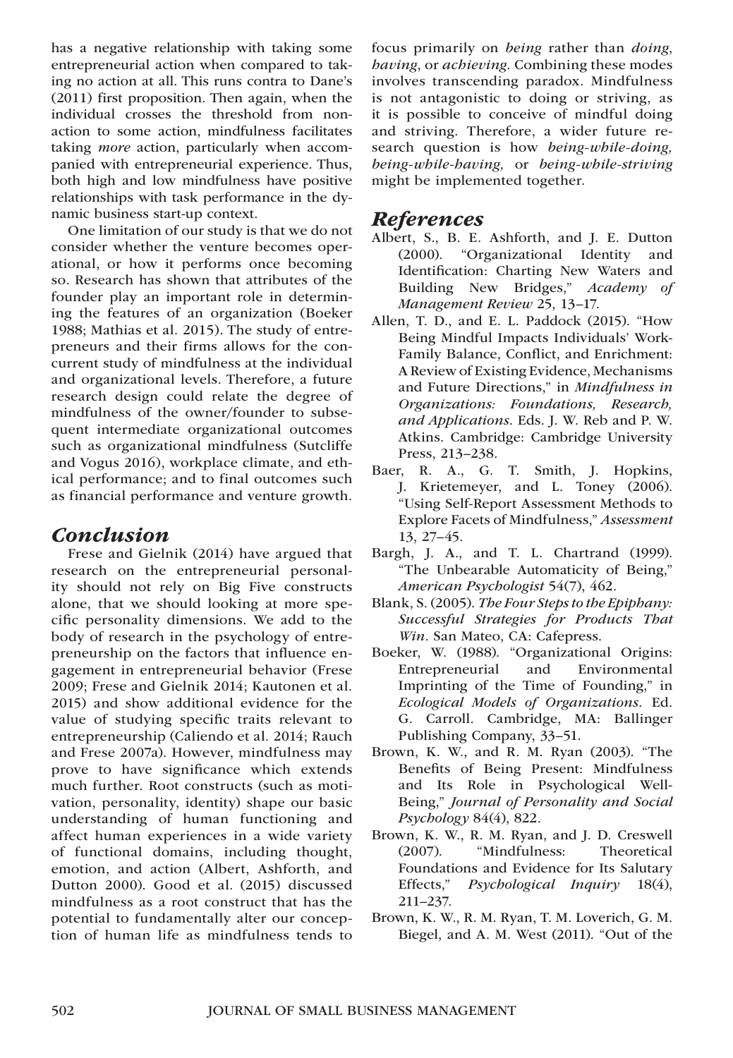has a negative relationship with taking some entrepreneurial action when compared to taking no action at all. This runs contra to Dane's (2011) first proposition. Then again, when the individual crosses the threshold from nonaction to some action, mindfulness facilitates taking *more* action, particularly when accompanied with entrepreneurial experience. Thus, both high and low mindfulness have positive relationships with task performance in the dynamic business start-up context.

One limitation of our study is that we do not consider whether the venture becomes operational, or how it performs once becoming so. Research has shown that attributes of the founder play an important role in determining the features of an organization (Boeker 1988; Mathias et al*.* 2015). The study of entrepreneurs and their firms allows for the concurrent study of mindfulness at the individual and organizational levels. Therefore, a future research design could relate the degree of mindfulness of the owner/founder to subsequent intermediate organizational outcomes such as organizational mindfulness (Sutcliffe and Vogus 2016), workplace climate, and ethical performance; and to final outcomes such as financial performance and venture growth.

# *Conclusion*

Frese and Gielnik (2014) have argued that research on the entrepreneurial personality should not rely on Big Five constructs alone, that we should looking at more specific personality dimensions. We add to the body of research in the psychology of entrepreneurship on the factors that influence engagement in entrepreneurial behavior (Frese 2009; Frese and Gielnik 2014; Kautonen et al*.* 2015) and show additional evidence for the value of studying specific traits relevant to entrepreneurship (Caliendo et al*.* 2014; Rauch and Frese 2007a). However, mindfulness may prove to have significance which extends much further. Root constructs (such as motivation, personality, identity) shape our basic understanding of human functioning and affect human experiences in a wide variety of functional domains, including thought, emotion, and action (Albert, Ashforth, and Dutton 2000). Good et al*.* (2015) discussed mindfulness as a root construct that has the potential to fundamentally alter our conception of human life as mindfulness tends to

focus primarily on *being* rather than *doing*, *having*, or *achieving*. Combining these modes involves transcending paradox. Mindfulness is not antagonistic to doing or striving, as it is possible to conceive of mindful doing and striving. Therefore, a wider future research question is how *being-while-doing, being-while-having,* or *being-while-striving* might be implemented together.

## *References*

- Albert, S., B. E. Ashforth, and J. E. Dutton (2000). "Organizational Identity and Identification: Charting New Waters and Building New Bridges," *Academy of Management Review* 25, 13–17.
- Allen, T. D., and E. L. Paddock (2015). "How Being Mindful Impacts Individuals' Work-Family Balance, Conflict, and Enrichment: A Review of Existing Evidence, Mechanisms and Future Directions," in *Mindfulness in Organizations: Foundations, Research, and Applications*. Eds. J. W. Reb and P. W. Atkins. Cambridge: Cambridge University Press, 213–238.
- Baer, R. A., G. T. Smith, J. Hopkins, J. Krietemeyer, and L. Toney (2006). "Using Self-Report Assessment Methods to Explore Facets of Mindfulness," *Assessment* 13, 27–45.
- Bargh, J. A., and T. L. Chartrand (1999). "The Unbearable Automaticity of Being," *American Psychologist* 54(7), 462.
- Blank, S. (2005). *The Four Steps to the Epiphany: Successful Strategies for Products That Win*. San Mateo, CA: Cafepress.
- Boeker, W. (1988). "Organizational Origins: Entrepreneurial and Environmental Imprinting of the Time of Founding," in *Ecological Models of Organizations*. Ed. G. Carroll. Cambridge, MA: Ballinger Publishing Company, 33–51.
- Brown, K. W., and R. M. Ryan (2003). "The Benefits of Being Present: Mindfulness and Its Role in Psychological Well-Being," *Journal of Personality and Social Psychology* 84(4), 822.
- Brown, K. W., R. M. Ryan, and J. D. Creswell (2007). "Mindfulness: Theoretical Foundations and Evidence for Its Salutary Effects," *Psychological Inquiry* 18(4), 211–237.
- Brown, K. W., R. M. Ryan, T. M. Loverich, G. M. Biegel, and A. M. West (2011). "Out of the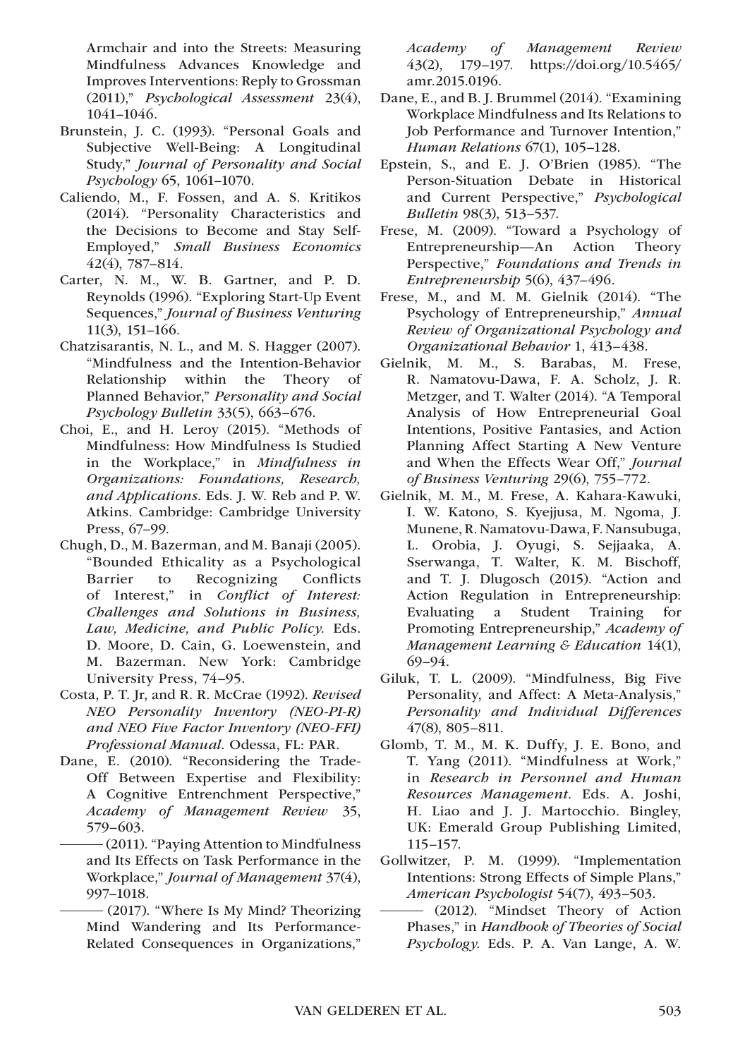Armchair and into the Streets: Measuring Mindfulness Advances Knowledge and Improves Interventions: Reply to Grossman (2011)," *Psychological Assessment* 23(4), 1041–1046.

- Brunstein, J. C. (1993). "Personal Goals and Subjective Well-Being: A Longitudinal Study," *Journal of Personality and Social Psychology* 65, 1061–1070.
- Caliendo, M., F. Fossen, and A. S. Kritikos (2014). "Personality Characteristics and the Decisions to Become and Stay Self-Employed," *Small Business Economics* 42(4), 787–814.
- Carter, N. M., W. B. Gartner, and P. D. Reynolds (1996). "Exploring Start-Up Event Sequences," *Journal of Business Venturing* 11(3), 151–166.
- Chatzisarantis, N. L., and M. S. Hagger (2007). "Mindfulness and the Intention-Behavior Relationship within the Theory of Planned Behavior," *Personality and Social Psychology Bulletin* 33(5), 663–676.
- Choi, E., and H. Leroy (2015). "Methods of Mindfulness: How Mindfulness Is Studied in the Workplace," in *Mindfulness in Organizations: Foundations, Research, and Applications*. Eds. J. W. Reb and P. W. Atkins. Cambridge: Cambridge University Press, 67–99.
- Chugh, D., M. Bazerman, and M. Banaji (2005). "Bounded Ethicality as a Psychological Barrier to Recognizing Conflicts of Interest," in *Conflict of Interest: Challenges and Solutions in Business, Law, Medicine, and Public Policy*. Eds. D. Moore, D. Cain, G. Loewenstein, and M. Bazerman. New York: Cambridge University Press, 74–95.
- Costa, P. T. Jr, and R. R. McCrae (1992). *Revised NEO Personality Inventory (NEO-PI-R) and NEO Five Factor Inventory (NEO-FFI) Professional Manual*. Odessa, FL: PAR.
- Dane, E. (2010). "Reconsidering the Trade-Off Between Expertise and Flexibility: A Cognitive Entrenchment Perspective," *Academy of Management Review* 35, 579–603.<br>— (2011). "Paying Attention to Mindfulness
	- and Its Effects on Task Performance in the Workplace," *Journal of Management* 37(4),
	- 997–1018.<br>—  $(2017)$ . "Where Is My Mind? Theorizing Mind Wandering and Its Performance-Related Consequences in Organizations,"

*Academy of Management Review* 43(2), 179–197. [https://doi.org/10.5465/](https://doi.org/10.5465/amr.2015.0196) [amr.2015.0196](https://doi.org/10.5465/amr.2015.0196).

- Dane, E., and B. J. Brummel (2014). "Examining Workplace Mindfulness and Its Relations to Job Performance and Turnover Intention," *Human Relations* 67(1), 105–128.
- Epstein, S., and E. J. O'Brien (1985). "The Person-Situation Debate in Historical and Current Perspective," *Psychological Bulletin* 98(3), 513–537.
- Frese, M. (2009). "Toward a Psychology of Entrepreneurship—An Action Theory Perspective," *Foundations and Trends in Entrepreneurship* 5(6), 437–496.
- Frese, M., and M. M. Gielnik (2014). "The Psychology of Entrepreneurship," *Annual Review of Organizational Psychology and Organizational Behavior* 1, 413–438.
- Gielnik, M. M., S. Barabas, M. Frese, R. Namatovu-Dawa, F. A. Scholz, J. R. Metzger, and T. Walter (2014). "A Temporal Analysis of How Entrepreneurial Goal Intentions, Positive Fantasies, and Action Planning Affect Starting A New Venture and When the Effects Wear Off," *Journal of Business Venturing* 29(6), 755–772.
- Gielnik, M. M., M. Frese, A. Kahara-Kawuki, I. W. Katono, S. Kyejjusa, M. Ngoma, J. Munene, R. Namatovu-Dawa, F. Nansubuga, L. Orobia, J. Oyugi, S. Sejjaaka, A. Sserwanga, T. Walter, K. M. Bischoff, and T. J. Dlugosch (2015). "Action and Action Regulation in Entrepreneurship: Evaluating a Student Training for Promoting Entrepreneurship," *Academy of Management Learning & Education* 14(1), 69–94.
- Giluk, T. L. (2009). "Mindfulness, Big Five Personality, and Affect: A Meta-Analysis," *Personality and Individual Differences* 47(8), 805–811.
- Glomb, T. M., M. K. Duffy, J. E. Bono, and T. Yang (2011). "Mindfulness at Work," in *Research in Personnel and Human Resources Management*. Eds. A. Joshi, H. Liao and J. J. Martocchio. Bingley, UK: Emerald Group Publishing Limited, 115–157.
- Gollwitzer, P. M. (1999). "Implementation Intentions: Strong Effects of Simple Plans,"
- *American Psychologist* 54(7), 493–503. (2012). "Mindset Theory of Action Phases," in *Handbook of Theories of Social Psychology*. Eds. P. A. Van Lange, A. W.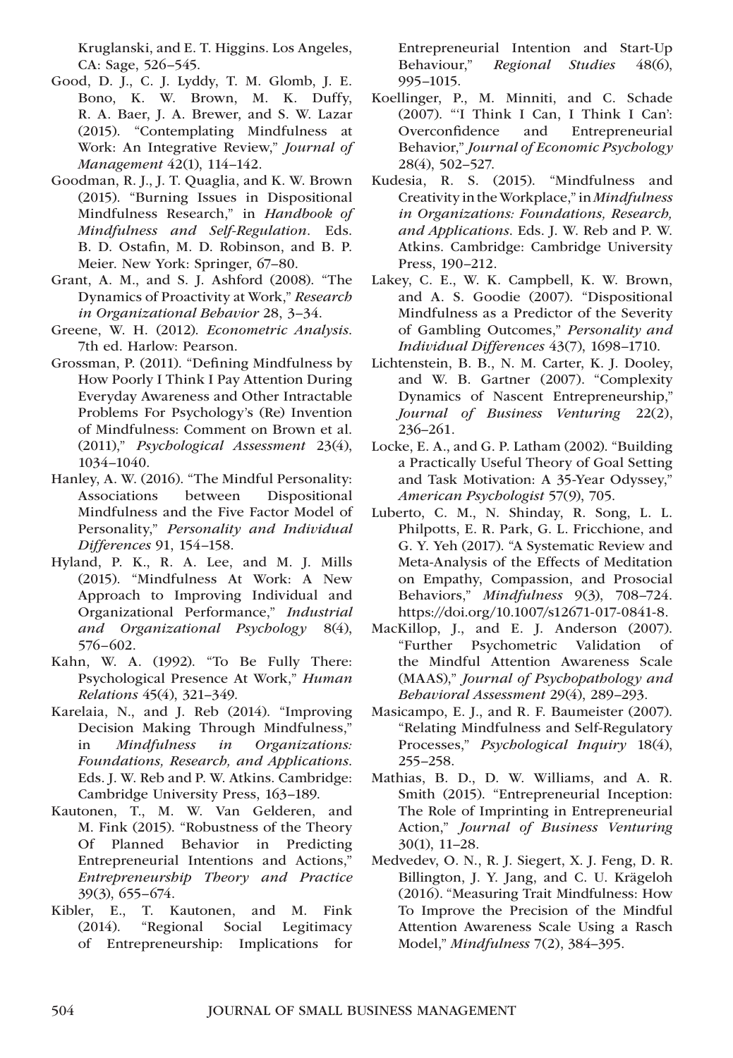Kruglanski, and E. T. Higgins. Los Angeles, CA: Sage, 526–545.

- Good, D. J., C. J. Lyddy, T. M. Glomb, J. E. Bono, K. W. Brown, M. K. Duffy, R. A. Baer, J. A. Brewer, and S. W. Lazar (2015). "Contemplating Mindfulness at Work: An Integrative Review," *Journal of Management* 42(1), 114–142.
- Goodman, R. J., J. T. Quaglia, and K. W. Brown (2015). "Burning Issues in Dispositional Mindfulness Research," in *Handbook of Mindfulness and Self-Regulation*. Eds. B. D. Ostafin, M. D. Robinson, and B. P. Meier. New York: Springer, 67–80.
- Grant, A. M., and S. J. Ashford (2008). "The Dynamics of Proactivity at Work," *Research in Organizational Behavior* 28, 3–34.
- Greene, W. H. (2012). *Econometric Analysis*. 7th ed. Harlow: Pearson.
- Grossman, P. (2011). "Defining Mindfulness by How Poorly I Think I Pay Attention During Everyday Awareness and Other Intractable Problems For Psychology's (Re) Invention of Mindfulness: Comment on Brown et al. (2011)," *Psychological Assessment* 23(4), 1034–1040.
- Hanley, A. W. (2016). "The Mindful Personality: Associations between Dispositional Mindfulness and the Five Factor Model of Personality," *Personality and Individual Differences* 91, 154–158.
- Hyland, P. K., R. A. Lee, and M. J. Mills (2015). "Mindfulness At Work: A New Approach to Improving Individual and Organizational Performance," *Industrial and Organizational Psychology* 8(4), 576–602.
- Kahn, W. A. (1992). "To Be Fully There: Psychological Presence At Work," *Human Relations* 45(4), 321–349.
- Karelaia, N., and J. Reb (2014). "Improving Decision Making Through Mindfulness," in *Mindfulness in Organizations: Foundations, Research, and Applications*. Eds. J. W. Reb and P. W. Atkins. Cambridge: Cambridge University Press, 163–189.
- Kautonen, T., M. W. Van Gelderen, and M. Fink (2015). "Robustness of the Theory Of Planned Behavior in Predicting Entrepreneurial Intentions and Actions," *Entrepreneurship Theory and Practice* 39(3), 655–674.
- Kibler, E., T. Kautonen, and M. Fink (2014). "Regional Social Legitimacy of Entrepreneurship: Implications for

Entrepreneurial Intention and Start-Up Behaviour," *Regional Studies* 48(6), 995–1015.

- Koellinger, P., M. Minniti, and C. Schade (2007). "'I Think I Can, I Think I Can': Overconfidence and Entrepreneurial Behavior," *Journal of Economic Psychology* 28(4), 502–527.
- Kudesia, R. S. (2015). "Mindfulness and Creativity in the Workplace," in *Mindfulness in Organizations: Foundations, Research, and Applications*. Eds. J. W. Reb and P. W. Atkins. Cambridge: Cambridge University Press, 190–212.
- Lakey, C. E., W. K. Campbell, K. W. Brown, and A. S. Goodie (2007). "Dispositional Mindfulness as a Predictor of the Severity of Gambling Outcomes," *Personality and Individual Differences* 43(7), 1698–1710.
- Lichtenstein, B. B., N. M. Carter, K. J. Dooley, and W. B. Gartner (2007). "Complexity Dynamics of Nascent Entrepreneurship," *Journal of Business Venturing* 22(2), 236–261.
- Locke, E. A., and G. P. Latham (2002). "Building a Practically Useful Theory of Goal Setting and Task Motivation: A 35-Year Odyssey," *American Psychologist* 57(9), 705.
- Luberto, C. M., N. Shinday, R. Song, L. L. Philpotts, E. R. Park, G. L. Fricchione, and G. Y. Yeh (2017). "A Systematic Review and Meta-Analysis of the Effects of Meditation on Empathy, Compassion, and Prosocial Behaviors," *Mindfulness* 9(3), 708–724. [https://doi.org/10.1007/s12671-017-0841-8.](https://doi.org/10.1007/s12671-017-0841-8)
- MacKillop, J., and E. J. Anderson (2007). "Further Psychometric Validation of the Mindful Attention Awareness Scale (MAAS)," *Journal of Psychopathology and Behavioral Assessment* 29(4), 289–293.
- Masicampo, E. J., and R. F. Baumeister (2007). "Relating Mindfulness and Self-Regulatory Processes," *Psychological Inquiry* 18(4), 255–258.
- Mathias, B. D., D. W. Williams, and A. R. Smith (2015). "Entrepreneurial Inception: The Role of Imprinting in Entrepreneurial Action," *Journal of Business Venturing* 30(1), 11–28.
- Medvedev, O. N., R. J. Siegert, X. J. Feng, D. R. Billington, J. Y. Jang, and C. U. Krägeloh (2016). "Measuring Trait Mindfulness: How To Improve the Precision of the Mindful Attention Awareness Scale Using a Rasch Model," *Mindfulness* 7(2), 384–395.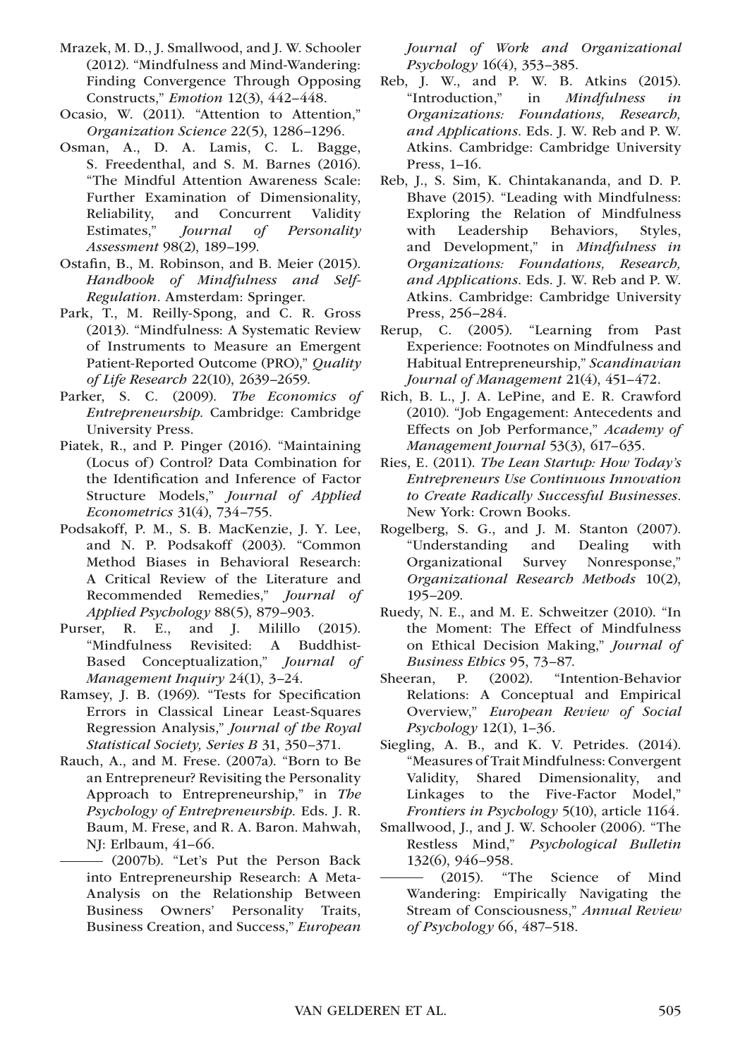- Mrazek, M. D., J. Smallwood, and J. W. Schooler (2012). "Mindfulness and Mind-Wandering: Finding Convergence Through Opposing Constructs," *Emotion* 12(3), 442–448.
- Ocasio, W. (2011). "Attention to Attention," *Organization Science* 22(5), 1286–1296.
- Osman, A., D. A. Lamis, C. L. Bagge, S. Freedenthal, and S. M. Barnes (2016). "The Mindful Attention Awareness Scale: Further Examination of Dimensionality, Reliability, and Concurrent Validity Estimates," *Journal of Personality Assessment* 98(2), 189–199.
- Ostafin, B., M. Robinson, and B. Meier (2015). *Handbook of Mindfulness and Self-Regulation*. Amsterdam: Springer.
- Park, T., M. Reilly-Spong, and C. R. Gross (2013). "Mindfulness: A Systematic Review of Instruments to Measure an Emergent Patient-Reported Outcome (PRO)," *Quality of Life Research* 22(10), 2639–2659.
- Parker, S. C. (2009). *The Economics of Entrepreneurship*. Cambridge: Cambridge University Press.
- Piatek, R., and P. Pinger (2016). "Maintaining (Locus of) Control? Data Combination for the Identification and Inference of Factor Structure Models," *Journal of Applied Econometrics* 31(4), 734–755.
- Podsakoff, P. M., S. B. MacKenzie, J. Y. Lee, and N. P. Podsakoff (2003). "Common Method Biases in Behavioral Research: A Critical Review of the Literature and Recommended Remedies," *Journal of Applied Psychology* 88(5), 879–903.
- Purser, R. E., and J. Milillo (2015). "Mindfulness Revisited: A Buddhist-Based Conceptualization," *Journal of Management Inquiry* 24(1), 3–24.
- Ramsey, J. B. (1969). "Tests for Specification Errors in Classical Linear Least-Squares Regression Analysis," *Journal of the Royal Statistical Society, Series B* 31, 350–371.
- Rauch, A., and M. Frese. (2007a). "Born to Be an Entrepreneur? Revisiting the Personality Approach to Entrepreneurship," in *The Psychology of Entrepreneurship*. Eds. J. R. Baum, M. Frese, and R. A. Baron. Mahwah,
- NJ: Erlbaum, 41–66.<br>— (2007b). "Let's Put the Person Back into Entrepreneurship Research: A Meta-Analysis on the Relationship Between Business Owners' Personality Traits, Business Creation, and Success," *European*

*Journal of Work and Organizational Psychology* 16(4), 353–385.

- Reb, J. W., and P. W. B. Atkins (2015). "Introduction," in *Mindfulness in Organizations: Foundations, Research, and Applications*. Eds. J. W. Reb and P. W. Atkins. Cambridge: Cambridge University Press, 1–16.
- Reb, J., S. Sim, K. Chintakananda, and D. P. Bhave (2015). "Leading with Mindfulness: Exploring the Relation of Mindfulness with Leadership Behaviors, Styles, and Development," in *Mindfulness in Organizations: Foundations, Research, and Applications*. Eds. J. W. Reb and P. W. Atkins. Cambridge: Cambridge University Press, 256–284.
- Rerup, C. (2005). "Learning from Past Experience: Footnotes on Mindfulness and Habitual Entrepreneurship," *Scandinavian Journal of Management* 21(4), 451–472.
- Rich, B. L., J. A. LePine, and E. R. Crawford (2010). "Job Engagement: Antecedents and Effects on Job Performance," *Academy of Management Journal* 53(3), 617–635.
- Ries, E. (2011). *The Lean Startup: How Today's Entrepreneurs Use Continuous Innovation to Create Radically Successful Businesses*. New York: Crown Books.
- Rogelberg, S. G., and J. M. Stanton (2007). "Understanding and Dealing with Organizational Survey Nonresponse," *Organizational Research Methods* 10(2), 195–209.
- Ruedy, N. E., and M. E. Schweitzer (2010). "In the Moment: The Effect of Mindfulness on Ethical Decision Making," *Journal of Business Ethics* 95, 73–87.
- Sheeran, P. (2002). "Intention-Behavior Relations: A Conceptual and Empirical Overview," *European Review of Social Psychology* 12(1), 1–36.
- Siegling, A. B., and K. V. Petrides. (2014). "Measures of Trait Mindfulness: Convergent Validity, Shared Dimensionality, and Linkages to the Five-Factor Model," *Frontiers in Psychology* 5(10), article 1164.
- Smallwood, J., and J. W. Schooler (2006). "The Restless Mind," *Psychological Bulletin* 132(6), 946–958.<br>— (2015). "The Science of Mind
	- Wandering: Empirically Navigating the Stream of Consciousness," *Annual Review of Psychology* 66, 487–518.